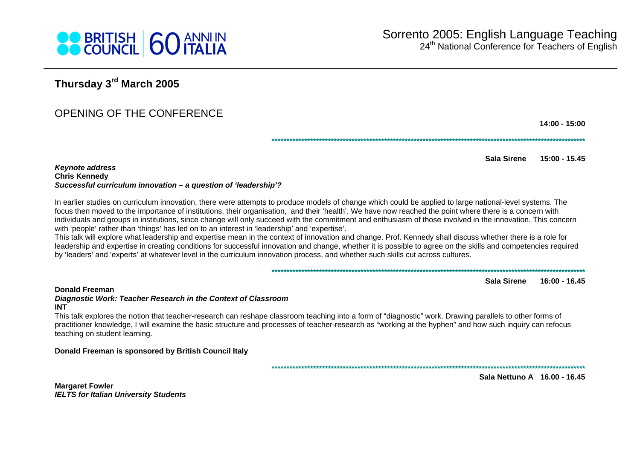

# Thursday 3rd March 2005

# OPENING OF THE CONFERENCE

 $14:00 - 15:00$ 

Sala Sirene  $15:00 - 15.45$ 

**Keynote address Chris Kennedv** Successful curriculum innovation - a question of 'leadership'?

In earlier studies on curriculum innovation, there were attempts to produce models of change which could be applied to large national-level systems. The focus then moved to the importance of institutions, their organisation, and their 'health'. We have now reached the point where there is a concern with individuals and groups in institutions, since change will only succeed with the commitment and enthusiasm of those involved in the innovation. This concern with 'people' rather than 'things' has led on to an interest in 'leadership' and 'expertise'.

This talk will explore what leadership and expertise mean in the context of innovation and change. Prof. Kennedy shall discuss whether there is a role for leadership and expertise in creating conditions for successful innovation and change, whether it is possible to agree on the skills and competencies required by 'leaders' and 'experts' at whatever level in the curriculum innovation process, and whether such skills cut across cultures.

#### 

Sala Sirene 16:00 - 16.45

#### **Donald Freeman**

#### Diagnostic Work: Teacher Research in the Context of Classroom **INT**

This talk explores the notion that teacher-research can reshape classroom teaching into a form of "diagnostic" work. Drawing parallels to other forms of practitioner knowledge, I will examine the basic structure and processes of teacher-research as "working at the hyphen" and how such inquiry can refocus teaching on student learning.

#### Donald Freeman is sponsored by British Council Italy

Sala Nettuno A 16.00 - 16.45

**Margaret Fowler IELTS for Italian University Students**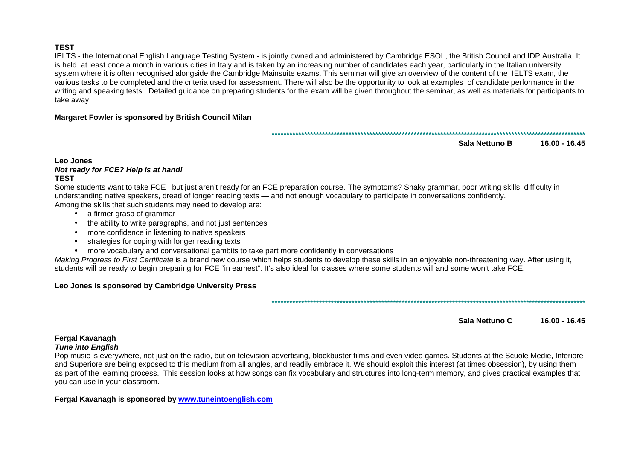#### **TEST**

 IELTS - the International English Language Testing System - is jointly owned and administered by Cambridge ESOL, the British Council and IDP Australia. It is held at least once a month in various cities in Italy and is taken by an increasing number of candidates each year, particularly in the Italian university system where it is often recognised alongside the Cambridge Mainsuite exams. This seminar will give an overview of the content of the IELTS exam, the various tasks to be completed and the criteria used for assessment. There will also be the opportunity to look at examples of candidate performance in the writing and speaking tests. Detailed guidance on preparing students for the exam will be given throughout the seminar, as well as materials for participants to take away.

#### **Margaret Fowler is sponsored by British Council Milan**

**\*\*\*\*\*\*\*\*\*\*\*\*\*\*\*\*\*\*\*\*\*\*\*\*\*\*\*\*\*\*\*\*\*\*\*\*\*\*\*\*\*\*\*\*\*\*\*\*\*\*\*\*\*\*\*\*\*\*\*\*\*\*\*\*\*\*\*\*\*\*\*\*\*\*\*\*\*\*\*\*\*\*\*\*\*\*\*\*\*\*\*\*\*\*\*\*\*\*\*\*\*\*\*\*\*\*** 

**Sala Nettuno B 16.00 - 16.45** 

#### **Leo Jones Not ready for FCE? Help is at hand! TEST**

 Some students want to take FCE , but just aren't ready for an FCE preparation course. The symptoms? Shaky grammar, poor writing skills, difficulty in understanding native speakers, dread of longer reading texts — and not enough vocabulary to participate in conversations confidently. Among the skills that such students may need to develop are:

- a firmer grasp of grammar
- the ability to write paragraphs, and not just sentences
- more confidence in listening to native speakers
- strategies for coping with longer reading texts
- more vocabulary and conversational gambits to take part more confidently in conversations

Making Progress to First Certificate is a brand new course which helps students to develop these skills in an enjoyable non-threatening way. After using it, students will be ready to begin preparing for FCE "in earnest". It's also ideal for classes where some students will and some won't take FCE.

## **Leo Jones is sponsored by Cambridge University Press**

\*\*\*\*\*\*\*\*\*\*\*\*\*\*\*\*\*\*\*\*\*\*\*\*\*\*\*\*\*\*\*\*\*\*\*\*\*\*\*\*\*\*\*\*\*\*\*\*\*\*\*\*\*\*\*\*\*\*\*\*\*\*\*\*\*\*\*\*\*\*\*\*\*\*\*\*\*\*\*\*\*\*\*\*\*\*\*\*\*\*\*\*\*\*\*\*\*\*\*\*\*\*\*\*\*\*

**Sala Nettuno C 16.00 - 16.45** 

## **Fergal Kavanagh**

## **Tune into English**

 Pop music is everywhere, not just on the radio, but on television advertising, blockbuster films and even video games. Students at the Scuole Medie, Inferiore and Superiore are being exposed to this medium from all angles, and readily embrace it. We should exploit this interest (at times obsession), by using them as part of the learning process. This session looks at how songs can fix vocabulary and structures into long-term memory, and gives practical examples that you can use in your classroom.

## **Fergal Kavanagh is sponsored by www.tuneintoenglish.com**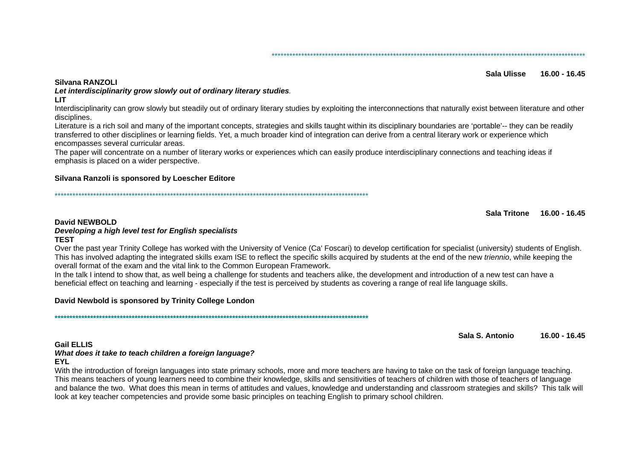#### 

#### Silvana RANZOLI

#### Sala Ulisse 16.00 - 16.45

# Let interdisciplinarity grow slowly out of ordinary literary studies.

**LIT** 

Interdisciplinarity can grow slowly but steadily out of ordinary literary studies by exploiting the interconnections that naturally exist between literature and other disciplines.

Literature is a rich soil and many of the important concepts, strategies and skills taught within its disciplinary boundaries are 'portable'-- they can be readily transferred to other disciplines or learning fields. Yet, a much broader kind of integration can derive from a central literary work or experience which encompasses several curricular areas.

The paper will concentrate on a number of literary works or experiences which can easily produce interdisciplinary connections and teaching ideas if emphasis is placed on a wider perspective.

#### Silvana Ranzoli is sponsored by Loescher Editore

Sala Tritone 16.00 - 16.45

#### **David NEWBOLD**

#### Developing a high level test for English specialists **TFST**

Over the past year Trinity College has worked with the University of Venice (Ca' Foscari) to develop certification for specialist (university) students of English. This has involved adapting the integrated skills exam ISE to reflect the specific skills acquired by students at the end of the new *triennio*, while keeping the overall format of the exam and the vital link to the Common European Framework.

In the talk I intend to show that, as well being a challenge for students and teachers alike, the development and introduction of a new test can have a beneficial effect on teaching and learning - especially if the test is perceived by students as covering a range of real life language skills.

## David Newbold is sponsored by Trinity College London

Sala S. Antonio 16.00 - 16.45

#### **Gail ELLIS**

## What does it take to teach children a foreign language?

**EYL** 

With the introduction of foreign languages into state primary schools, more and more teachers are having to take on the task of foreign language teaching. This means teachers of young learners need to combine their knowledge, skills and sensitivities of teachers of children with those of teachers of language and balance the two. What does this mean in terms of attitudes and values, knowledge and understanding and classroom strategies and skills? This talk will look at key teacher competencies and provide some basic principles on teaching English to primary school children.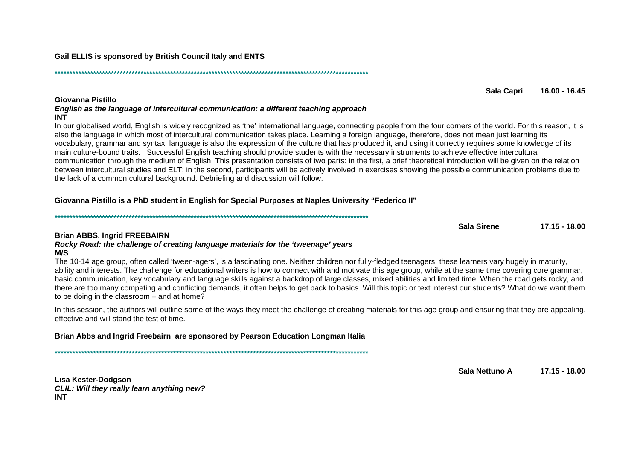Sala Capri 16.00 - 16.45

Giovanna Pistillo English as the language of intercultural communication: a different teaching approach **INT** 

In our globalised world, English is widely recognized as 'the' international language, connecting people from the four corners of the world. For this reason, it is also the language in which most of intercultural communication takes place. Learning a foreign language, therefore, does not mean just learning its vocabulary, grammar and syntax: language is also the expression of the culture that has produced it, and using it correctly requires some knowledge of its main culture-bound traits. Successful English teaching should provide students with the necessary instruments to achieve effective intercultural communication through the medium of English. This presentation consists of two parts: in the first, a brief theoretical introduction will be given on the relation between intercultural studies and ELT: in the second, participants will be actively involved in exercises showing the possible communication problems due to the lack of a common cultural background. Debriefing and discussion will follow.

## "Giovanna Pistillo is a PhD student in English for Special Purposes at Naples University "Federico II

#### **Brian ABBS. Ingrid FREEBAIRN**

Rocky Road: the challenge of creating language materials for the 'tweenage' years  $M/S$ 

The 10-14 age group, often called 'tween-agers', is a fascinating one. Neither children nor fully-fledged teenagers, these learners vary hugely in maturity, ability and interests. The challenge for educational writers is how to connect with and motivate this age group, while at the same time covering core grammar, basic communication, key vocabulary and language skills against a backdrop of large classes, mixed abilities and limited time. When the road gets rocky, and there are too many competing and conflicting demands, it often helps to get back to basics. Will this topic or text interest our students? What do we want them to be doing in the classroom – and at home?

In this session, the authors will outline some of the ways they meet the challenge of creating materials for this age group and ensuring that they are appealing, effective and will stand the test of time.

## Brian Abbs and Ingrid Freebairn are sponsored by Pearson Education Longman Italia

Lisa Kester-Dodgson CLIL: Will they really learn anything new? **INT** 

Gail ELLIS is sponsored by British Council Italy and ENTS

 $17.15 - 18.00$ 

Sala Nettuno A  $17.15 - 18.00$ 

Sala Sirene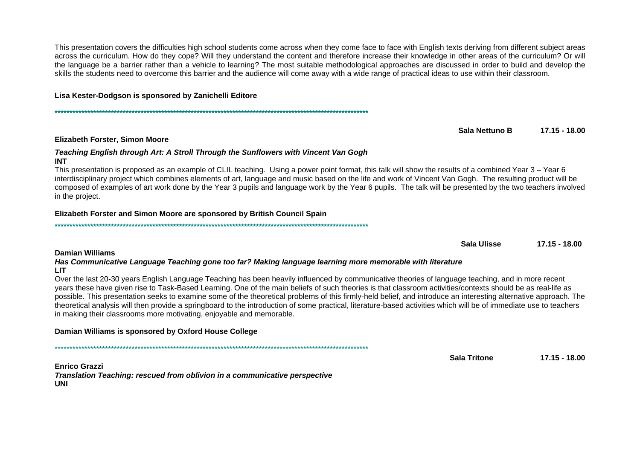This presentation covers the difficulties high school students come across when they come face to face with English texts deriving from different subject areas across the curriculum. How do they cope? Will they understand the content and therefore increase their knowledge in other areas of the curriculum? Or will the language be a barrier rather than a vehicle to learning? The most suitable methodological approaches are discussed in order to build and develop the skills the students need to overcome this barrier and the audience will come away with a wide range of practical ideas to use within their classroom.

## Lisa Kester-Dodgson is sponsored by Zanichelli Editore

Sala Nettuno B 17.15 - 18.00

#### **Elizabeth Forster, Simon Moore**

#### Teaching English through Art: A Stroll Through the Sunflowers with Vincent Van Gogh **INT**

This presentation is proposed as an example of CLIL teaching. Using a power point format, this talk will show the results of a combined Year 3 – Year 6 interdisciplinary project which combines elements of art, language and music based on the life and work of Vincent Van Gogh. The resulting product will be composed of examples of art work done by the Year 3 pupils and language work by the Year 6 pupils. The talk will be presented by the two teachers involved in the project.

## Elizabeth Forster and Simon Moore are sponsored by British Council Spain

**Damian Williams** 

Has Communicative Language Teaching gone too far? Making language learning more memorable with literature **LIT** 

Over the last 20-30 years English Language Teaching has been heavily influenced by communicative theories of language teaching, and in more recent years these have given rise to Task-Based Learning. One of the main beliefs of such theories is that classroom activities/contexts should be as real-life as possible. This presentation seeks to examine some of the theoretical problems of this firmly-held belief, and introduce an interesting alternative approach. The theoretical analysis will then provide a springboard to the introduction of some practical. literature-based activities which will be of immediate use to teachers in making their classrooms more motivating, enjoyable and memorable.

## Damian Williams is sponsored by Oxford House College

**Enrico Grazzi** Translation Teaching: rescued from oblivion in a communicative perspective UNI

 $17.15 - 18.00$ 

Sala Tritone

Sala Ulisse  $17.15 - 18.00$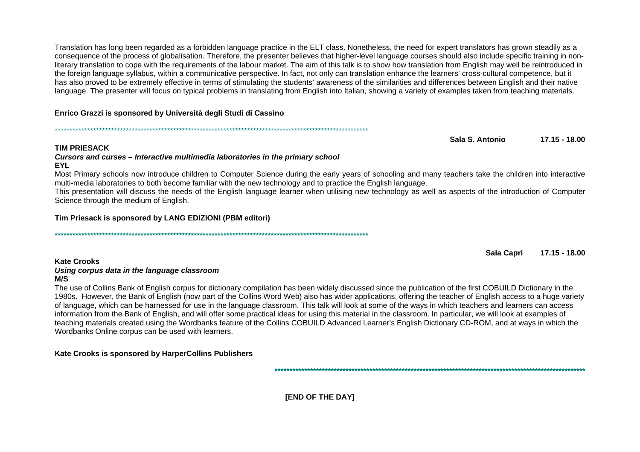Translation has long been regarded as a forbidden language practice in the ELT class. Nonetheless, the need for expert translators has grown steadily as a consequence of the process of globalisation. Therefore, the presenter believes that higher-level language courses should also include specific training in nonliterary translation to cope with the requirements of the labour market. The aim of this talk is to show how translation from English may well be reintroduced in the foreign language syllabus, within a communicative perspective. In fact, not only can translation enhance the learners' cross-cultural competence, but it has also proved to be extremely effective in terms of stimulating the students' awareness of the similarities and differences between English and their native language. The presenter will focus on typical problems in translating from English into Italian, showing a variety of examples taken from teaching materials.

## Enrico Grazzi is sponsored by Università degli Studi di Cassino

Sala S. Antonio  $17.15 - 18.00$ 

## **TIM PRIESACK**

#### Cursors and curses - Interactive multimedia laboratories in the primary school **EYL**

Most Primary schools now introduce children to Computer Science during the early years of schooling and many teachers take the children into interactive multi-media laboratories to both become familiar with the new technology and to practice the English language.

This presentation will discuss the needs of the English language learner when utilising new technology as well as aspects of the introduction of Computer Science through the medium of English.

## Tim Priesack is sponsored by LANG EDIZIONI (PBM editori)

**Sala Capri** 17.15 - 18.00

#### **Kate Crooks** Using corpus data in the language classroom  $M/S$

The use of Collins Bank of English corpus for dictionary compilation has been widely discussed since the publication of the first COBUILD Dictionary in the 1980s. However, the Bank of English (now part of the Collins Word Web) also has wider applications, offering the teacher of English access to a huge variety of language, which can be harnessed for use in the language classroom. This talk will look at some of the ways in which teachers and learners can access information from the Bank of English, and will offer some practical ideas for using this material in the classroom. In particular, we will look at examples of teaching materials created using the Wordbanks feature of the Collins COBUILD Advanced Learner's English Dictionary CD-ROM, and at ways in which the Wordbanks Online corpus can be used with learners.

## Kate Crooks is sponsored by HarperCollins Publishers

[END OF THE DAY]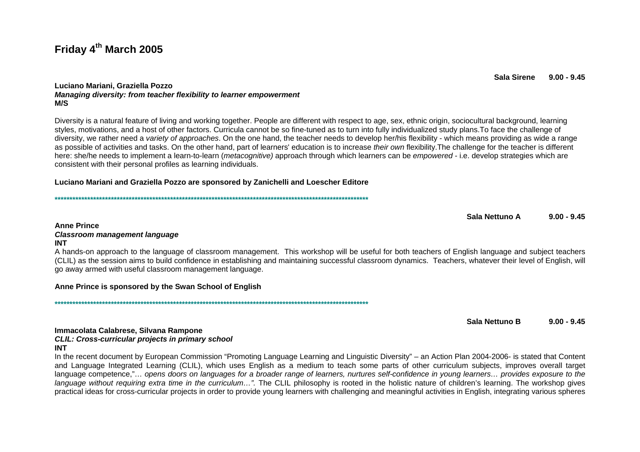# Friday 4th March 2005

#### Luciano Mariani, Graziella Pozzo Managing diversity: from teacher flexibility to learner empowerment  $M/S$

Diversity is a natural feature of living and working together. People are different with respect to age, sex, ethnic origin, sociocultural background, learning styles, motivations, and a host of other factors. Curricula cannot be so fine-tuned as to turn into fully individualized study plans. To face the challenge of diversity, we rather need a variety of approaches. On the one hand, the teacher needs to develop her/his flexibility - which means providing as wide a range as possible of activities and tasks. On the other hand, part of learners' education is to increase their own flexibility. The challenge for the teacher is different here: she/he needs to implement a learn-to-learn (*metacognitive*) approach through which learners can be *empowered* - i.e. develop strategies which are consistent with their personal profiles as learning individuals.

#### Luciano Mariani and Graziella Pozzo are sponsored by Zanichelli and Loescher Editore

Sala Nettuno A  $9.00 - 9.45$ 

#### **Anne Prince**

#### **Classroom management language**

#### **INT**

A hands-on approach to the language of classroom management. This workshop will be useful for both teachers of English language and subject teachers (CLIL) as the session aims to build confidence in establishing and maintaining successful classroom dynamics. Teachers, whatever their level of English, will go away armed with useful classroom management language.

#### Anne Prince is sponsored by the Swan School of English

Sala Nettuno B  $9.00 - 9.45$ 

#### Immacolata Calabrese, Silvana Rampone **CLIL: Cross-curricular projects in primary school INT**

In the recent document by European Commission "Promoting Language Learning and Linguistic Diversity" – an Action Plan 2004-2006- is stated that Content and Language Integrated Learning (CLIL), which uses English as a medium to teach some parts of other curriculum subjects, improves overall target language competence."... opens doors on languages for a broader range of learners, nurtures self-confidence in young learners... provides exposure to the language without requiring extra time in the curriculum...". The CLIL philosophy is rooted in the holistic nature of children's learning. The workshop gives practical ideas for cross-curricular projects in order to provide young learners with challenging and meaningful activities in English, integrating various spheres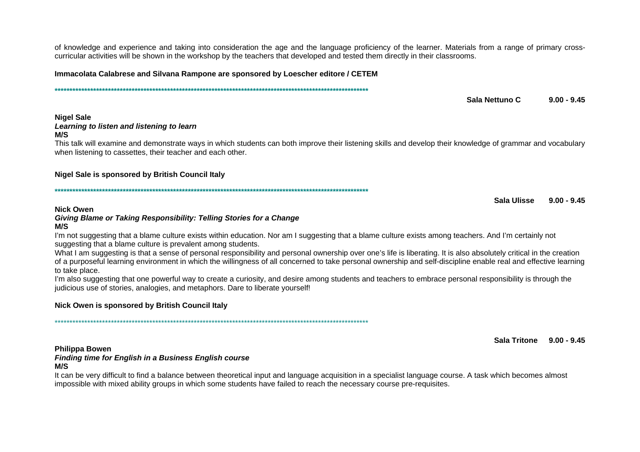of knowledge and experience and taking into consideration the age and the language proficiency of the learner. Materials from a range of primary crosscurricular activities will be shown in the workshop by the teachers that developed and tested them directly in their classrooms.

Immacolata Calabrese and Silvana Rampone are sponsored by Loescher editore / CETEM

Sala Nettuno C  $9.00 - 9.45$ 

#### **Nigel Sale** Learning to listen and listening to learn

#### $M/S$

This talk will examine and demonstrate ways in which students can both improve their listening skills and develop their knowledge of grammar and vocabulary when listening to cassettes, their teacher and each other.

#### Nigel Sale is sponsored by British Council Italy

Sala Ulisse  $9.00 - 9.45$ 

#### **Nick Owen**

## Giving Blame or Taking Responsibility: Telling Stories for a Change

#### $M/S$

I'm not suggesting that a blame culture exists within education. Nor am I suggesting that a blame culture exists among teachers. And I'm certainly not suggesting that a blame culture is prevalent among students.

What I am suggesting is that a sense of personal responsibility and personal ownership over one's life is liberating. It is also absolutely critical in the creation of a purposeful learning environment in which the willingness of all concerned to take personal ownership and self-discipline enable real and effective learning to take place.

I'm also suggesting that one powerful way to create a curiosity, and desire among students and teachers to embrace personal responsibility is through the judicious use of stories, analogies, and metaphors. Dare to liberate yourself!

## Nick Owen is sponsored by British Council Italy

Sala Tritone 9.00 - 9.45

#### **Philippa Bowen**

# **Finding time for English in a Business English course**

#### $M/S$

It can be very difficult to find a balance between theoretical input and language acquisition in a specialist language course. A task which becomes almost impossible with mixed ability groups in which some students have failed to reach the necessary course pre-requisites.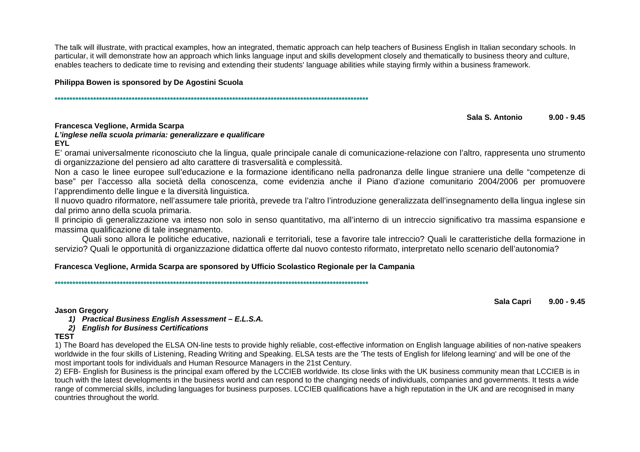The talk will illustrate, with practical examples, how an integrated, thematic approach can help teachers of Business English in Italian secondary schools. In particular, it will demonstrate how an approach which links language input and skills development closely and thematically to business theory and culture, enables teachers to dedicate time to revising and extending their students' language abilities while staying firmly within a business framework.

## **Philippa Bowen is sponsored by De Agostini Scuola**

**\*\*\*\*\*\*\*\*\*\*\*\*\*\*\*\*\*\*\*\*\*\*\*\*\*\*\*\*\*\*\*\*\*\*\*\*\*\*\*\*\*\*\*\*\*\*\*\*\*\*\*\*\*\*\*\*\*\*\*\*\*\*\*\*\*\*\*\*\*\*\*\*\*\*\*\*\*\*\*\*\*\*\*\*\*\*\*\*\*\*\*\*\*\*\*\*\*\*\*\*\*\*\*\*\*\*** 

#### **Sala S. Antonio 9.00 - 9.45**

## **Francesca Veglione, Armida Scarpa**

#### **L'inglese nella scuola primaria: generalizzare e qualificare EYL**

 E' oramai universalmente riconosciuto che la lingua, quale principale canale di comunicazione-relazione con l'altro, rappresenta uno strumento di organizzazione del pensiero ad alto carattere di trasversalità e complessità.

 Non a caso le linee europee sull'educazione e la formazione identificano nella padronanza delle lingue straniere una delle "competenze di base" per l'accesso alla società della conoscenza, come evidenzia anche il Piano d'azione comunitario 2004/2006 per promuovere l'apprendimento delle lingue e la diversità linguistica.

 Il nuovo quadro riformatore, nell'assumere tale priorità, prevede tra l'altro l'introduzione generalizzata dell'insegnamento della lingua inglese sin dal primo anno della scuola primaria.

 Il principio di generalizzazione va inteso non solo in senso quantitativo, ma all'interno di un intreccio significativo tra massima espansione e massima qualificazione di tale insegnamento.

 Quali sono allora le politiche educative, nazionali e territoriali, tese a favorire tale intreccio? Quali le caratteristiche della formazione in servizio? Quali le opportunità di organizzazione didattica offerte dal nuovo contesto riformato, interpretato nello scenario dell'autonomia?

## **Francesca Veglione, Armida Scarpa are sponsored by Ufficio Scolastico Regionale per la Campania**

**\*\*\*\*\*\*\*\*\*\*\*\*\*\*\*\*\*\*\*\*\*\*\*\*\*\*\*\*\*\*\*\*\*\*\*\*\*\*\*\*\*\*\*\*\*\*\*\*\*\*\*\*\*\*\*\*\*\*\*\*\*\*\*\*\*\*\*\*\*\*\*\*\*\*\*\*\*\*\*\*\*\*\*\*\*\*\*\*\*\*\*\*\*\*\*\*\*\*\*\*\*\*\*\*\*\*** 

**Sala Capri 9.00 - 9.45** 

**Jason Gregory** 

**1) Practical Business English Assessment – E.L.S.A.**

## **2) English for Business Certifications**

## **TEST**

1) The Board has developed the ELSA ON-line tests to provide highly reliable, cost-effective information on English language abilities of non-native speakers<br>We also have ability of Listenian Deading With a sed Oneshing EL worldwide in the four skills of Listening, Reading Writing and Speaking. ELSA tests are the 'The tests of English for lifelong learning' and will be one of the most important tools for individuals and Human Resource Managers in the 21st Century.

 2) EFB- English for Business is the principal exam offered by the LCCIEB worldwide. Its close links with the UK business community mean that LCCIEB is in touch with the latest developments in the business world and can respond to the changing needs of individuals, companies and governments. It tests a wide range of commercial skills, including languages for business purposes. LCCIEB qualifications have a high reputation in the UK and are recognised in many countries throughout the world.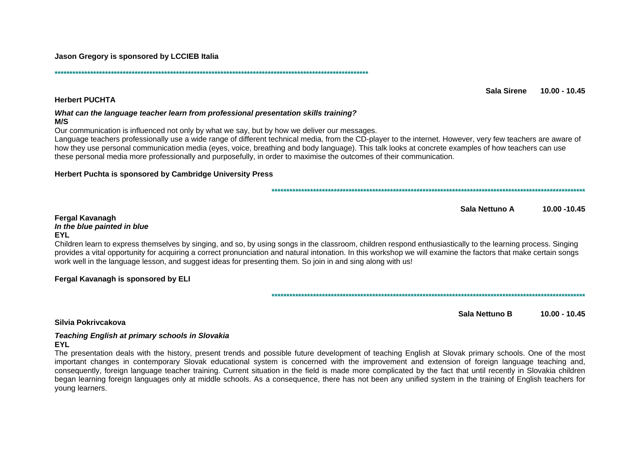Jason Gregory is sponsored by LCCIEB Italia

**Herbert PUCHTA** 

#### What can the language teacher learn from professional presentation skills training?  $M/S$

Our communication is influenced not only by what we say, but by how we deliver our messages.

Language teachers professionally use a wide range of different technical media, from the CD-player to the internet. However, very few teachers are aware of how they use personal communication media (eves, voice, breathing and body language). This talk looks at concrete examples of how teachers can use these personal media more professionally and purposefully, in order to maximise the outcomes of their communication.

#### Herbert Puchta is sponsored by Cambridge University Press

Sala Nettuno A 10.00 - 10.45

Sala Sirene

 $10.00 - 10.45$ 

#### **Fergal Kavanagh**

In the blue painted in blue

#### **EYL**

Children learn to express themselves by singing, and so, by using songs in the classroom, children respond enthusiastically to the learning process. Singing provides a vital opportunity for acquiring a correct pronunciation and natural intonation. In this workshop we will examine the factors that make certain songs work well in the language lesson, and suggest ideas for presenting them. So join in and sing along with us!

## Fergal Kavanagh is sponsored by ELI

Sala Nettuno B 10.00 - 10.45

## Silvia Pokrivcakova

# **Teaching English at primary schools in Slovakia**

**EYL** 

The presentation deals with the history, present trends and possible future development of teaching English at Slovak primary schools. One of the most important changes in contemporary Slovak educational system is concerned with the improvement and extension of foreign language teaching and, consequently, foreign language teacher training. Current situation in the field is made more complicated by the fact that until recently in Slovakia children began learning foreign languages only at middle schools. As a consequence, there has not been any unified system in the training of English teachers for voung learners.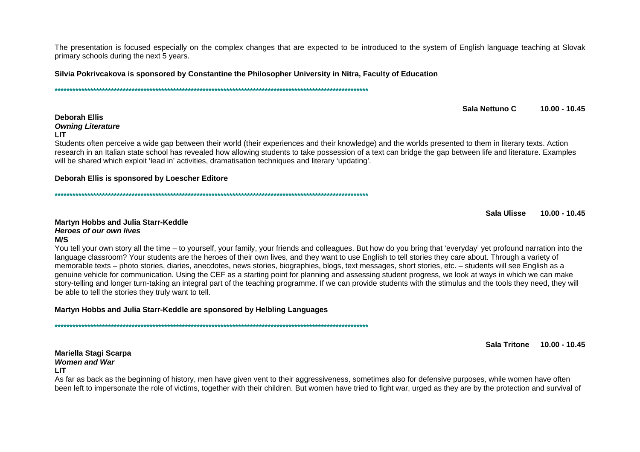The presentation is focused especially on the complex changes that are expected to be introduced to the system of English language teaching at Slovak primary schools during the next 5 years.

Silvia Pokrivcakova is sponsored by Constantine the Philosopher University in Nitra, Faculty of Education

Sala Nettuno C  $10.00 - 10.45$ 

#### **Deborah Ellis Owning Literature**

#### **LIT**

Students often perceive a wide gap between their world (their experiences and their knowledge) and the worlds presented to them in literary texts. Action research in an Italian state school has revealed how allowing students to take possession of a text can bridge the gap between life and literature. Examples will be shared which exploit 'lead in' activities, dramatisation techniques and literary 'updating'.

#### Deborah Ellis is sponsored by Loescher Editore

Sala Ulisse  $10.00 - 10.45$ 

#### **Martyn Hobbs and Julia Starr-Keddle Heroes of our own lives**

#### $M/S$

You tell your own story all the time – to yourself, your family, your friends and colleagues. But how do you bring that 'everyday' yet profound narration into the language classroom? Your students are the heroes of their own lives, and they want to use English to tell stories they care about. Through a variety of memorable texts – photo stories, diaries, anecdotes, news stories, biographies, blogs, text messages, short stories, etc. – students will see English as a genuine vehicle for communication. Using the CEF as a starting point for planning and assessing student progress, we look at ways in which we can make story-telling and longer turn-taking an integral part of the teaching programme. If we can provide students with the stimulus and the tools they need, they will be able to tell the stories they truly want to tell.

Martyn Hobbs and Julia Starr-Keddle are sponsored by Helbling Languages

Sala Tritone 10.00 - 10.45

## Mariella Stagi Scarpa **Women and War**

#### **LIT**

As far as back as the beginning of history, men have given vent to their aggressiveness, sometimes also for defensive purposes, while women have often been left to impersonate the role of victims, together with their children. But women have tried to fight war, urged as they are by the protection and survival of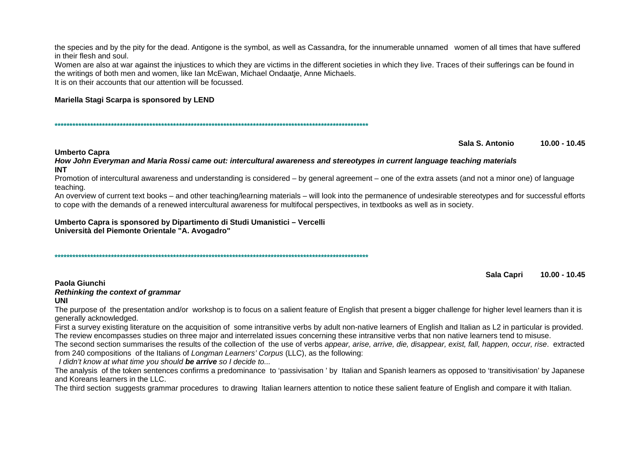the species and by the pity for the dead. Antigone is the symbol, as well as Cassandra, for the innumerable unnamed women of all times that have suffered in their flesh and soul.

Women are also at war against the injustices to which they are victims in the different societies in which they live. Traces of their sufferings can be found in the writings of both men and women, like Ian McEwan, Michael Ondaatie, Anne Michaels. It is on their accounts that our attention will be focussed

## Mariella Stagi Scarpa is sponsored by LEND

Sala S. Antonio  $10.00 - 10.45$ 

#### **Umberto Capra**

How John Everyman and Maria Rossi came out: intercultural awareness and stereotypes in current language teaching materials **INT** 

Promotion of intercultural awareness and understanding is considered – by general agreement – one of the extra assets (and not a minor one) of language teaching.

An overview of current text books – and other teaching/learning materials – will look into the permanence of undesirable stereotypes and for successful efforts to cope with the demands of a renewed intercultural awareness for multifocal perspectives, in textbooks as well as in society.

Umberto Capra is sponsored by Dipartimento di Studi Umanistici – Vercelli Università del Piemonte Orientale "A. Avogadro"

Sala Capri  $10.00 - 10.45$ 

#### Paola Giunchi

#### Rethinking the context of grammar

#### UNI

The purpose of the presentation and/or workshop is to focus on a salient feature of English that present a bigger challenge for higher level learners than it is generally acknowledged.

First a survey existing literature on the acquisition of some intransitive verbs by adult non-native learners of English and Italian as L2 in particular is provided. The review encompasses studies on three major and interrelated issues concerning these intransitive verbs that non native learners tend to misuse.

The second section summarises the results of the collection of the use of verbs appear, arise, arrive, die, disappear, exist, fall, happen, occur, rise. extracted from 240 compositions of the Italians of Longman Learners' Corpus (LLC), as the following:

I didn't know at what time you should be arrive so I decide to...

The analysis of the token sentences confirms a predominance to 'passivisation' by Italian and Spanish learners as opposed to 'transitivisation' by Japanese and Koreans learners in the LLC.

The third section suggests grammar procedures to drawing Italian learners attention to notice these salient feature of English and compare it with Italian.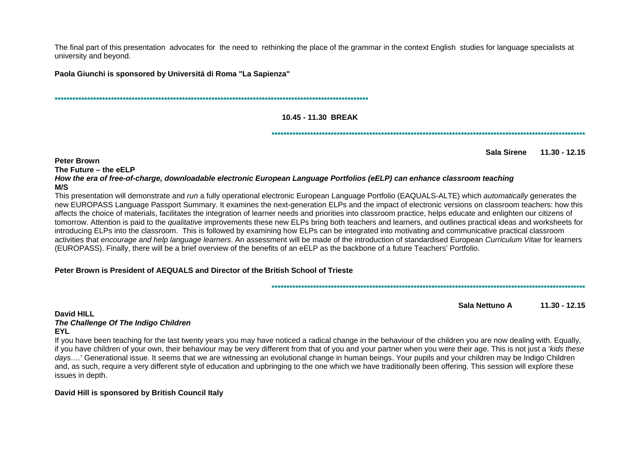The final part of this presentation advocates for the need to rethinking the place of the grammar in the context English studies for language specialists at university and beyond.

Paola Giunchi is sponsored by Universitá di Roma "La Sapienza"

#### 10.45 - 11.30 BREAK

Sala Sirene 11.30 - 12.15

**Peter Brown** 

The Future - the eELP

How the era of free-of-charge, downloadable electronic European Language Portfolios (eELP) can enhance classroom teaching **M/S** 

This presentation will demonstrate and run a fully operational electronic European Language Portfolio (EAQUALS-ALTE) which automatically generates the new EUROPASS Language Passport Summary. It examines the next-generation ELPs and the impact of electronic versions on classroom teachers: how this affects the choice of materials, facilitates the integration of learner needs and priorities into classroom practice, helps educate and enlighten our citizens of tomorrow. Attention is paid to the *qualitative* improvements these new ELPs bring both teachers and learners, and outlines practical ideas and worksheets for introducing ELPs into the classroom. This is followed by examining how ELPs can be integrated into motivating and communicative practical classroom activities that encourage and help language learners. An assessment will be made of the introduction of standardised European Curriculum Vitae for learners (EUROPASS). Finally, there will be a brief overview of the benefits of an eELP as the backbone of a future Teachers' Portfolio.

## Peter Brown is President of AEQUALS and Director of the British School of Trieste

Sala Nettuno A  $11.30 - 12.15$ 

David HILL The Challenge Of The Indigo Children **EYL** 

If you have been teaching for the last twenty years you may have noticed a radical change in the behaviour of the children you are now dealing with. Equally, if you have children of your own, their behaviour may be very different from that of you and your partner when you were their age. This is not just a 'kids these days...' Generational issue. It seems that we are witnessing an evolutional change in human beings. Your pupils and your children may be Indigo Children and, as such, require a very different style of education and upbringing to the one which we have traditionally been offering. This session will explore these issues in depth.

## David Hill is sponsored by British Council Italy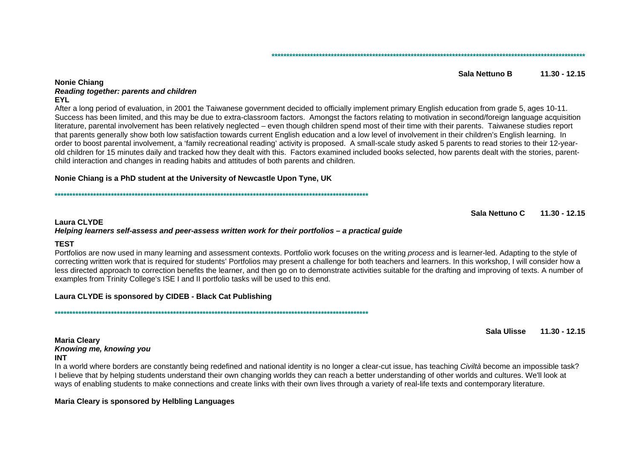#### Sala Nettuno B  $11.30 - 12.15$

#### **Nonie Chiang Reading together: parents and children EYL**

After a long period of evaluation, in 2001 the Taiwanese government decided to officially implement primary English education from grade 5, ages 10-11. Success has been limited, and this may be due to extra-classroom factors. Amongst the factors relating to motivation in second/foreign language acquisition literature, parental involvement has been relatively neglected – even though children spend most of their time with their parents. Taiwanese studies report that parents generally show both low satisfaction towards current English education and a low level of involvement in their children's English learning. In order to boost parental involvement, a 'family recreational reading' activity is proposed. A small-scale study asked 5 parents to read stories to their 12-yearold children for 15 minutes daily and tracked how they dealt with this. Factors examined included books selected, how parents dealt with the stories, parentchild interaction and changes in reading habits and attitudes of both parents and children.

#### Nonie Chiang is a PhD student at the University of Newcastle Upon Tyne, UK

Sala Nettuno C  $11.30 - 12.15$ 

#### **Laura CLYDE** Helping learners self-assess and peer-assess written work for their portfolios - a practical quide

## **TEST**

Portfolios are now used in many learning and assessment contexts. Portfolio work focuses on the writing *process* and is learner-led. Adapting to the style of correcting written work that is required for students' Portfolios may present a challenge for both teachers and learners. In this workshop, I will consider how a less directed approach to correction benefits the learner, and then go on to demonstrate activities suitable for the drafting and improving of texts. A number of examples from Trinity College's ISE I and II portfolio tasks will be used to this end.

## Laura CLYDE is sponsored by CIDEB - Black Cat Publishing

Sala Ulisse  $11.30 - 12.15$ 

#### **Maria Cleary** Knowing me, knowing you **INT**

In a world where borders are constantly being redefined and national identity is no longer a clear-cut issue, has teaching Civiltà become an impossible task? I believe that by helping students understand their own changing worlds they can reach a better understanding of other worlds and cultures. We'll look at ways of enabling students to make connections and create links with their own lives through a variety of real-life texts and contemporary literature.

## Maria Cleary is sponsored by Helbling Languages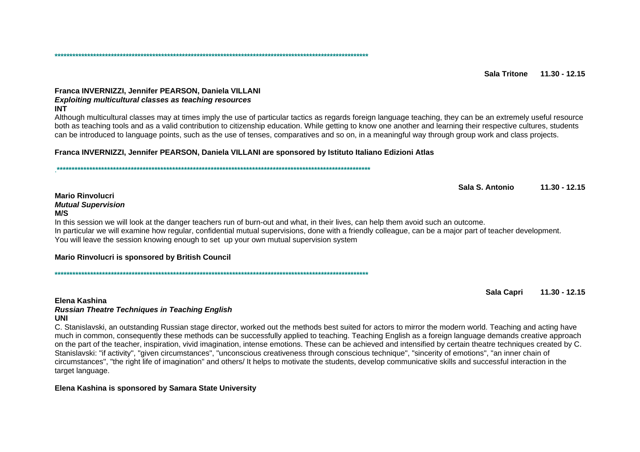#### Franca INVERNIZZI, Jennifer PEARSON, Daniela VILLANI **Exploiting multicultural classes as teaching resources INT**

Although multicultural classes may at times imply the use of particular tactics as regards foreign language teaching, they can be an extremely useful resource both as teaching tools and as a valid contribution to citizenship education. While getting to know one another and learning their respective cultures, students can be introduced to language points, such as the use of tenses, comparatives and so on, in a meaningful way through group work and class projects.

#### Franca INVERNIZZI, Jennifer PEARSON, Daniela VILLANI are sponsored by Istituto Italiano Edizioni Atlas

Sala S. Antonio  $11.30 - 12.15$ 

#### **Mario Rinvolucri Mutual Supervision**  $M/S$

In this session we will look at the danger teachers run of burn-out and what, in their lives, can help them avoid such an outcome. In particular we will examine how regular, confidential mutual supervisions, done with a friendly colleague, can be a major part of teacher development. You will leave the session knowing enough to set up your own mutual supervision system

#### Mario Rinvolucri is sponsored by British Council

Sala Capri  $11.30 - 12.15$ 

#### Elena Kashina

#### **Russian Theatre Techniques in Teaching English UNI**

C. Stanislavski, an outstanding Russian stage director, worked out the methods best suited for actors to mirror the modern world. Teaching and acting have much in common, consequently these methods can be successfully applied to teaching. Teaching English as a foreign language demands creative approach on the part of the teacher, inspiration, vivid imagination, intense emotions. These can be achieved and intensified by certain theatre techniques created by C. Stanislavski: "if activity". "given circumstances". "unconscious creativeness through conscious technique". "sincerity of emotions". "an inner chain of circumstances", "the right life of imagination" and others/ It helps to motivate the students, develop communicative skills and successful interaction in the target language.

#### Elena Kashina is sponsored by Samara State University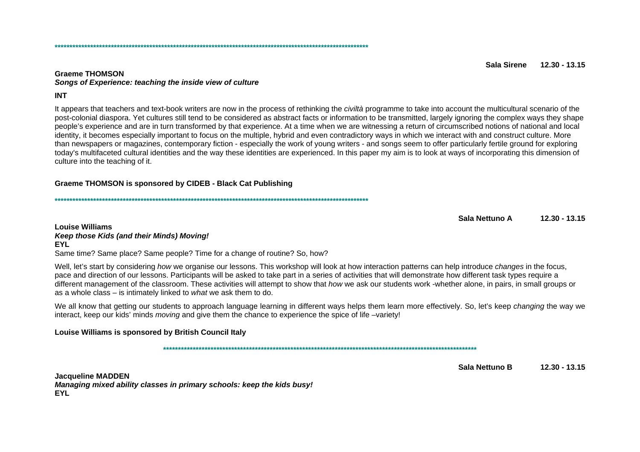#### Sala Sirene  $12.30 - 13.15$

#### **Graeme THOMSON** Songs of Experience: teaching the inside view of culture

#### **INT**

It appears that teachers and text-book writers are now in the process of rethinking the *civiltà* programme to take into account the multicultural scenario of the post-colonial diaspora. Yet cultures still tend to be considered as abstract facts or information to be transmitted, largely ignoring the complex ways they shape people's experience and are in turn transformed by that experience. At a time when we are witnessing a return of circumscribed notions of national and local identity, it becomes especially important to focus on the multiple, hybrid and even contradictory ways in which we interact with and construct culture. More than newspapers or magazines, contemporary fiction - especially the work of young writers - and songs seem to offer particularly fertile ground for exploring today's multifaceted cultural identities and the way these identities are experienced. In this paper my aim is to look at ways of incorporating this dimension of culture into the teaching of it.

#### Graeme THOMSON is sponsored by CIDEB - Black Cat Publishing

Sala Nettuno A  $12.30 - 13.15$ 

#### **Louise Williams** Keep those Kids (and their Minds) Moving! **EYL**

Same time? Same place? Same people? Time for a change of routine? So, how?

Well, let's start by considering how we organise our lessons. This workshop will look at how interaction patterns can help introduce changes in the focus, pace and direction of our lessons. Participants will be asked to take part in a series of activities that will demonstrate how different task types require a different management of the classroom. These activities will attempt to show that *how* we ask our students work -whether alone, in pairs, in small groups or as a whole class  $-$  is intimately linked to what we ask them to do.

We all know that getting our students to approach language learning in different ways helps them learn more effectively. So, let's keep *changing* the way we interact, keep our kids' minds *moving* and give them the chance to experience the spice of life -variety!

#### Louise Williams is sponsored by British Council Italy

Sala Nettuno B  $12.30 - 13.15$ 

**Jacqueline MADDEN** Managing mixed ability classes in primary schools: keep the kids busy! **EYL**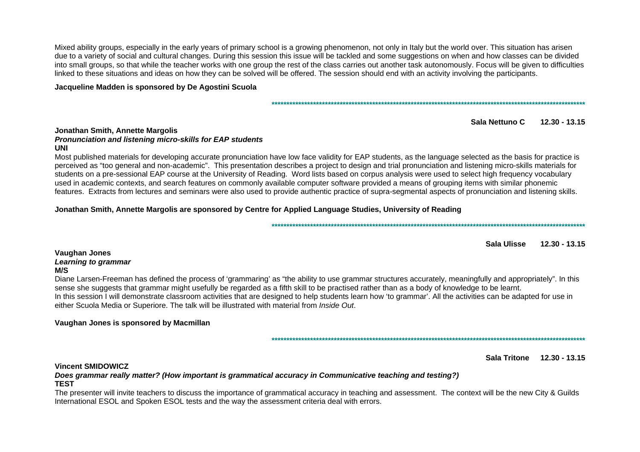Mixed ability groups, especially in the early years of primary school is a growing phenomenon, not only in Italy but the world over. This situation has arisen due to a variety of social and cultural changes. During this session this issue will be tackled and some suggestions on when and how classes can be divided into small groups, so that while the teacher works with one group the rest of the class carries out another task autonomously. Focus will be given to difficulties linked to these situations and ideas on how they can be solved will be offered. The session should end with an activity involving the participants.

Jacqueline Madden is sponsored by De Agostini Scuola

#### 

Sala Nettuno C  $12.30 - 13.15$ 

#### **Jonathan Smith, Annette Margolis** Pronunciation and listening micro-skills for EAP students **UNI**

Most published materials for developing accurate pronunciation have low face validity for EAP students, as the language selected as the basis for practice is perceived as "too general and non-academic". This presentation describes a project to design and trial pronunciation and listening micro-skills materials for students on a pre-sessional EAP course at the University of Reading. Word lists based on corpus analysis were used to select high frequency vocabulary used in academic contexts, and search features on commonly available computer software provided a means of grouping items with similar phonemic features. Extracts from lectures and seminars were also used to provide authentic practice of supra-segmental aspects of pronunciation and listening skills.

## Jonathan Smith, Annette Margolis are sponsored by Centre for Applied Language Studies, University of Reading

Sala Ulisse  $12.30 - 13.15$ 

#### **Vaughan Jones** Learning to grammar  $M/S$

Diane Larsen-Freeman has defined the process of 'grammaring' as "the ability to use grammar structures accurately, meaningfully and appropriately". In this sense she suggests that grammar might usefully be regarded as a fifth skill to be practised rather than as a body of knowledge to be learnt. In this session I will demonstrate classroom activities that are designed to help students learn how 'to grammar'. All the activities can be adapted for use in either Scuola Media or Superiore. The talk will be illustrated with material from *Inside Out.* 

## Vaughan Jones is sponsored by Macmillan

Sala Tritone 12.30 - 13.15

#### **Vincent SMIDOWICZ**

Does grammar really matter? (How important is grammatical accuracy in Communicative teaching and testing?) **TEST** 

The presenter will invite teachers to discuss the importance of grammatical accuracy in teaching and assessment. The context will be the new City & Guilds International ESOL and Spoken ESOL tests and the way the assessment criteria deal with errors.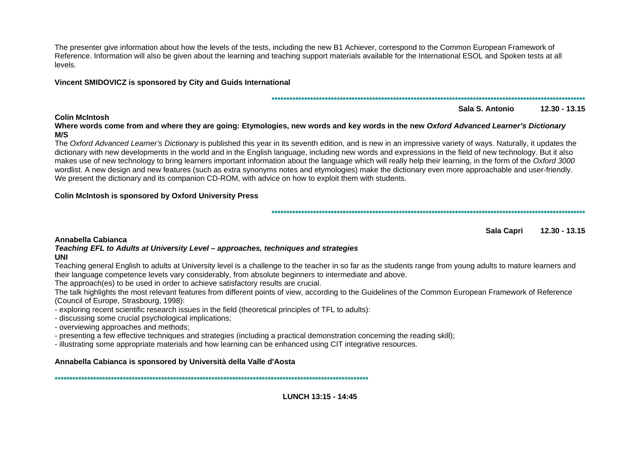The presenter give information about how the levels of the tests, including the new B1 Achiever, correspond to the Common European Framework of Reference. Information will also be given about the learning and teaching support materials available for the International ESOL and Spoken tests at all levels.

## Vincent SMIDOVICZ is sponsored by City and Guids International

## 

Sala S. Antonio  $12.30 - 13.15$ 

Where words come from and where they are going: Etymologies, new words and key words in the new Oxford Advanced Learner's Dictionary  $M/S$ 

The Oxford Advanced Learner's Dictionary is published this year in its seventh edition, and is new in an impressive variety of ways. Naturally, it updates the dictionary with new developments in the world and in the English language, including new words and expressions in the field of new technology. But it also makes use of new technology to bring learners important information about the language which will really help their learning, in the form of the Oxford 3000 wordlist. A new design and new features (such as extra synonyms notes and etymologies) make the dictionary even more approachable and user-friendly. We present the dictionary and its companion CD-ROM, with advice on how to exploit them with students.

## **Colin McIntosh is sponsored by Oxford University Press**

Sala Capri  $12.30 - 13.15$ 

## Annabella Cabianca

#### Teaching EFL to Adults at University Level – approaches, techniques and strategies **UNI**

Teaching general English to adults at University level is a challenge to the teacher in so far as the students range from young adults to mature learners and their language competence levels vary considerably, from absolute beginners to intermediate and above.

The approach(es) to be used in order to achieve satisfactory results are crucial.

The talk highlights the most relevant features from different points of view, according to the Guidelines of the Common European Framework of Reference (Council of Europe, Strasbourg, 1998);

- exploring recent scientific research issues in the field (theoretical principles of TFL to adults):

- discussing some crucial psychological implications;

- overviewing approaches and methods;

- presenting a few effective techniques and strategies (including a practical demonstration concerning the reading skill);

- illustrating some appropriate materials and how learning can be enhanced using CIT integrative resources.

## Annabella Cabianca is sponsored by Università della Valle d'Aosta

## **Colin McIntosh**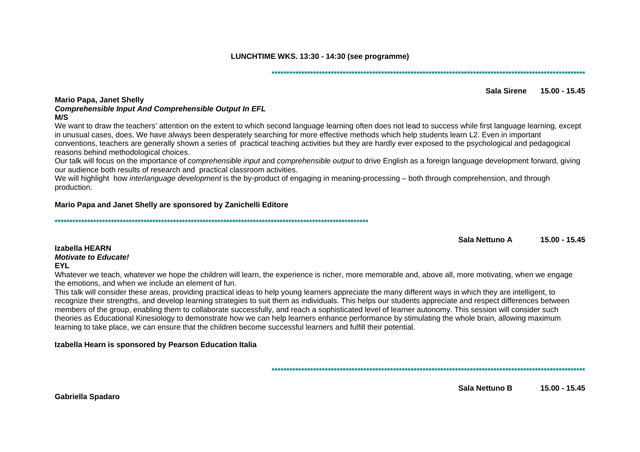LUNCHTIME WKS, 13:30 - 14:30 (see programme)

#### **Mario Papa, Janet Shelly Comprehensible Input And Comprehensible Output In EFL**  $M/S$

We want to draw the teachers' attention on the extent to which second language learning often does not lead to success while first language learning, except in unusual cases, does. We have always been desperately searching for more effective methods which help students learn L2. Even in important conventions, teachers are generally shown a series of practical teaching activities but they are hardly ever exposed to the psychological and pedagogical reasons behind methodological choices.

Our talk will focus on the importance of *comprehensible input* and *comprehensible output* to drive English as a foreign language development forward, giving our audience both results of research and practical classroom activities.

We will highlight how interlanguage development is the by-product of engaging in meaning-processing – both through comprehension, and through production.

## Mario Papa and Janet Shelly are sponsored by Zanichelli Editore

Sala Nettuno A  $15.00 - 15.45$ 

Sala Sirene 15.00 - 15.45

#### Izabella HEARN **Motivate to Educate! EYL**

Whatever we teach, whatever we hope the children will learn, the experience is richer, more memorable and, above all, more motivating, when we engage the emotions, and when we include an element of fun.

This talk will consider these areas, providing practical ideas to help young learners appreciate the many different ways in which they are intelligent, to recognize their strengths, and develop learning strategies to suit them as individuals. This helps our students appreciate and respect differences between members of the group, enabling them to collaborate successfully, and reach a sophisticated level of learner autonomy. This session will consider such theories as Educational Kinesiology to demonstrate how we can help learners enhance performance by stimulating the whole brain, allowing maximum learning to take place, we can ensure that the children become successful learners and fulfill their potential.

Izabella Hearn is sponsored by Pearson Education Italia

Sala Nettuno B  $15.00 - 15.45$ 

**Gabriella Spadaro**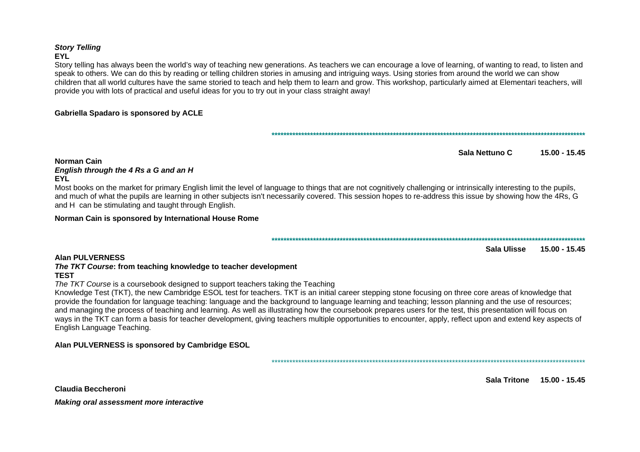## **Story Telling FYI**

Story telling has always been the world's way of teaching new generations. As teachers we can encourage a love of learning, of wanting to read, to listen and speak to others. We can do this by reading or telling children stories in amusing and intriguing ways. Using stories from around the world we can show children that all world cultures have the same storied to teach and help them to learn and grow. This workshop, particularly aimed at Elementari teachers, will provide you with lots of practical and useful ideas for you to try out in your class straight away!

## **Gabriella Spadaro is sponsored by ACLE**

Sala Nettuno C  $15.00 - 15.45$ 

## Norman Cain

#### English through the 4 Rs a G and an H **EYL**

Most books on the market for primary English limit the level of language to things that are not cognitively challenging or intrinsically interesting to the pupils, and much of what the pupils are learning in other subjects isn't necessarily covered. This session hopes to re-address this issue by showing how the 4Rs. G and H can be stimulating and taught through English.

#### Norman Cain is sponsored by International House Rome

#### 

Sala Ulisse  $15.00 - 15.45$ 

## **Alan PULVERNESS**

#### The TKT Course: from teaching knowledge to teacher development **TEST**

The TKT Course is a coursebook designed to support teachers taking the Teaching

Knowledge Test (TKT), the new Cambridge ESOL test for teachers. TKT is an initial career stepping stone focusing on three core areas of knowledge that provide the foundation for language teaching: language and the background to language learning and teaching; lesson planning and the use of resources; and managing the process of teaching and learning. As well as illustrating how the coursebook prepares users for the test, this presentation will focus on ways in the TKT can form a basis for teacher development, giving teachers multiple opportunities to encounter, apply, reflect upon and extend key aspects of English Language Teaching.

## Alan PULVERNESS is sponsored by Cambridge ESOL

Sala Tritone 15.00 - 15.45

Claudia Beccheroni

Making oral assessment more interactive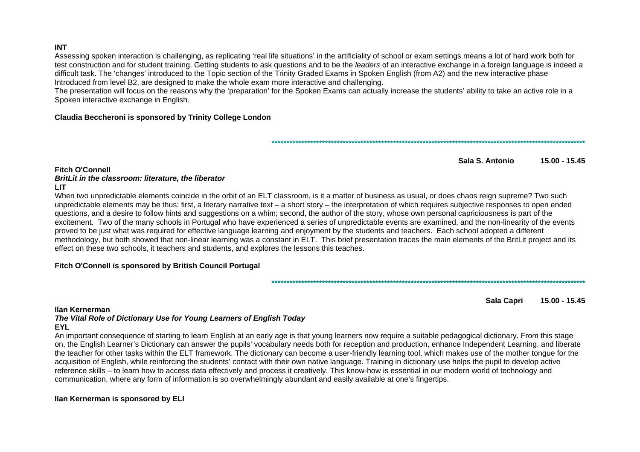#### **INT**

Assessing spoken interaction is challenging, as replicating 'real life situations' in the artificiality of school or exam settings means a lot of hard work both for test construction and for student training. Getting students to ask questions and to be the leaders of an interactive exchange in a foreign language is indeed a difficult task. The 'changes' introduced to the Topic section of the Trinity Graded Exams in Spoken English (from A2) and the new interactive phase Introduced from level B2, are designed to make the whole exam more interactive and challenging.

The presentation will focus on the reasons why the 'preparation' for the Spoken Exams can actually increase the students' ability to take an active role in a Spoken interactive exchange in English.

#### Claudia Beccheroni is sponsored by Trinity College London

#### Sala S. Antonio  $15.00 - 15.45$

#### **Fitch O'Connell**

## BritLit in the classroom: literature, the liberator

#### **LIT**

When two unpredictable elements coincide in the orbit of an ELT classroom, is it a matter of business as usual, or does chaos reign supreme? Two such unpredictable elements may be thus: first, a literary narrative text – a short story – the interpretation of which requires subjective responses to open ended questions, and a desire to follow hints and suggestions on a whim; second, the author of the story, whose own personal capriciousness is part of the excitement. Two of the many schools in Portugal who have experienced a series of unpredictable events are examined, and the non-linearity of the events proved to be just what was required for effective language learning and enjoyment by the students and teachers. Each school adopted a different methodology, but both showed that non-linear learning was a constant in ELT. This brief presentation traces the main elements of the BritLit project and its effect on these two schools, it teachers and students, and explores the lessons this teaches.

## Fitch O'Connell is sponsored by British Council Portugal

#### Ilan Kernerman

Sala Capri  $15.00 - 15.45$ 

## The Vital Role of Dictionary Use for Young Learners of English Today **EYL**

An important consequence of starting to learn English at an early age is that young learners now require a suitable pedagogical dictionary. From this stage on, the English Learner's Dictionary can answer the pupils' vocabulary needs both for reception and production, enhance Independent Learning, and liberate the teacher for other tasks within the ELT framework. The dictionary can become a user-friendly learning tool, which makes use of the mother tonque for the acquisition of English, while reinforcing the students' contact with their own native language. Training in dictionary use helps the pupil to develop active reference skills – to learn how to access data effectively and process it creatively. This know-how is essential in our modern world of technology and communication, where any form of information is so overwhelmingly abundant and easily available at one's fingertips.

#### Ilan Kernerman is sponsored by ELI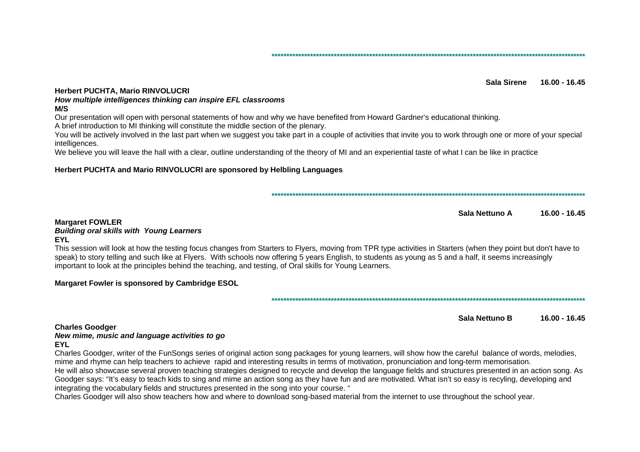Sala Sirene 16.00 - 16.45

#### **Herbert PUCHTA, Mario RINVOLUCRI**

## How multiple intelligences thinking can inspire EFL classrooms

#### $M/S$

Our presentation will open with personal statements of how and why we have benefited from Howard Gardner's educational thinking. A brief introduction to MI thinking will constitute the middle section of the plenary.

You will be actively involved in the last part when we suggest you take part in a couple of activities that invite you to work through one or more of your special

intelligences.

We believe you will leave the hall with a clear, outline understanding of the theory of MI and an experiential taste of what I can be like in practice

#### Herbert PUCHTA and Mario RINVOLUCRI are sponsored by Helbling Languages

Sala Nettuno A  $16.00 - 16.45$ 

#### **Margaret FOWLER**

#### **Building oral skills with Young Learners FYI**

This session will look at how the testing focus changes from Starters to Flyers, moving from TPR type activities in Starters (when they point but don't have to speak) to story telling and such like at Flyers. With schools now offering 5 years English, to students as young as 5 and a half, it seems increasingly important to look at the principles behind the teaching, and testing, of Oral skills for Young Learners.

## Margaret Fowler is sponsored by Cambridge ESOL

Sala Nettuno B  $16.00 - 16.45$ 

#### **Charles Goodger** New mime, music and language activities to go

#### **EYL**

Charles Goodger, writer of the FunSongs series of original action song packages for young learners, will show how the careful balance of words, melodies, mime and rhyme can help teachers to achieve rapid and interesting results in terms of motivation, pronunciation and long-term memorisation.

He will also showcase several proven teaching strategies designed to recycle and develop the language fields and structures presented in an action song. As Goodger says: "It's easy to teach kids to sing and mime an action song as they have fun and are motivated. What isn't so easy is recyling, developing and integrating the vocabulary fields and structures presented in the song into your course. "

Charles Goodger will also show teachers how and where to download song-based material from the internet to use throughout the school year.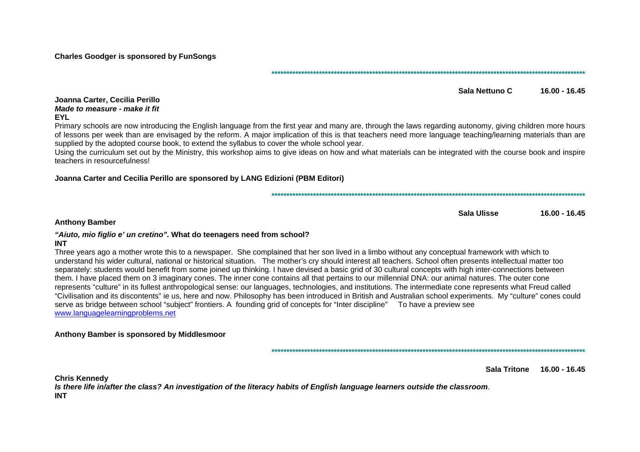**Charles Goodger is sponsored by FunSongs** 

Sala Nettuno C  $16.00 - 16.45$ 

#### Joanna Carter, Cecilia Perillo Made to measure - make it fit **EYL**

Primary schools are now introducing the English language from the first year and many are, through the laws regarding autonomy, giving children more hours of lessons per week than are envisaged by the reform. A major implication of this is that teachers need more language teaching/learning materials than are supplied by the adopted course book, to extend the syllabus to cover the whole school year.

Using the curriculum set out by the Ministry, this workshop aims to give ideas on how and what materials can be integrated with the course book and inspire teachers in resourcefulness!

## Joanna Carter and Cecilia Perillo are sponsored by LANG Edizioni (PBM Editori)

Sala Ulisse  $16.00 - 16.45$ 

#### **Anthony Bamber**

## "Aiuto, mio figlio e' un cretino". What do teenagers need from school?

#### **INT**

Three years ago a mother wrote this to a newspaper. She complained that her son lived in a limbo without any conceptual framework with which to understand his wider cultural, national or historical situation. The mother's cry should interest all teachers. School often presents intellectual matter too separately: students would benefit from some joined up thinking. I have devised a basic grid of 30 cultural concepts with high inter-connections between them. I have placed them on 3 imaginary cones. The inner cone contains all that pertains to our millennial DNA; our animal natures. The outer cone represents "culture" in its fullest anthropological sense: our languages, technologies, and institutions. The intermediate cone represents what Freud called "Civilisation and its discontents" ie us, here and now. Philosophy has been introduced in British and Australian school experiments. My "culture" cones could serve as bridge between school "subject" frontiers. A founding grid of concepts for "Inter discipline" To have a preview see www.languagelearningproblems.net

#### Anthony Bamber is sponsored by Middlesmoor

Sala Tritone 16.00 - 16.45

**Chris Kennedy** Is there life in/after the class? An investigation of the literacy habits of English language learners outside the classroom. **INT**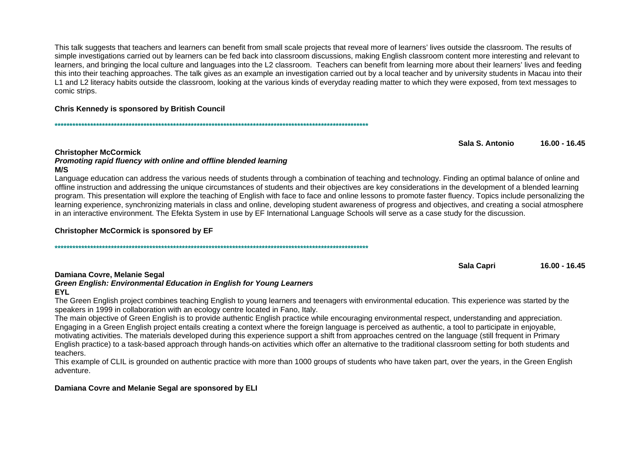This talk suggests that teachers and learners can benefit from small scale projects that reveal more of learners' lives outside the classroom. The results of simple investigations carried out by learners can be fed back into classroom discussions, making English classroom content more interesting and relevant to learners, and bringing the local culture and languages into the L2 classroom. Teachers can benefit from learning more about their learners' lives and feeding this into their teaching approaches. The talk gives as an example an investigation carried out by a local teacher and by university students in Macau into their L1 and L2 literacy habits outside the classroom, looking at the various kinds of everyday reading matter to which they were exposed, from text messages to comic strips.

## **Chris Kennedy is sponsored by British Council**

Sala S. Antonio  $16.00 - 16.45$ 

#### **Christopher McCormick**

#### Promoting rapid fluency with online and offline blended learning **M/S**

Language education can address the various needs of students through a combination of teaching and technology. Finding an optimal balance of online and offline instruction and addressing the unique circumstances of students and their objectives are key considerations in the development of a blended learning program. This presentation will explore the teaching of English with face to face and online lessons to promote faster fluency. Topics include personalizing the learning experience, synchronizing materials in class and online, developing student awareness of progress and objectives, and creating a social atmosphere in an interactive environment. The Efekta System in use by EF International Language Schools will serve as a case study for the discussion.

## **Christopher McCormick is sponsored by EF**

Sala Capri 16.00 - 16.45

## Damiana Covre, Melanie Segal

#### Green English: Environmental Education in English for Young Learners **EYL**

The Green English project combines teaching English to young learners and teenagers with environmental education. This experience was started by the speakers in 1999 in collaboration with an ecology centre located in Fano, Italy.

The main objective of Green English is to provide authentic English practice while encouraging environmental respect, understanding and appreciation. Engaging in a Green English project entails creating a context where the foreign language is perceived as authentic, a tool to participate in enjoyable, motivating activities. The materials developed during this experience support a shift from approaches centred on the language (still frequent in Primary English practice) to a task-based approach through hands-on activities which offer an alternative to the traditional classroom setting for both students and teachers.

This example of CLIL is grounded on authentic practice with more than 1000 groups of students who have taken part, over the years, in the Green English adventure.

## Damiana Covre and Melanie Segal are sponsored by ELI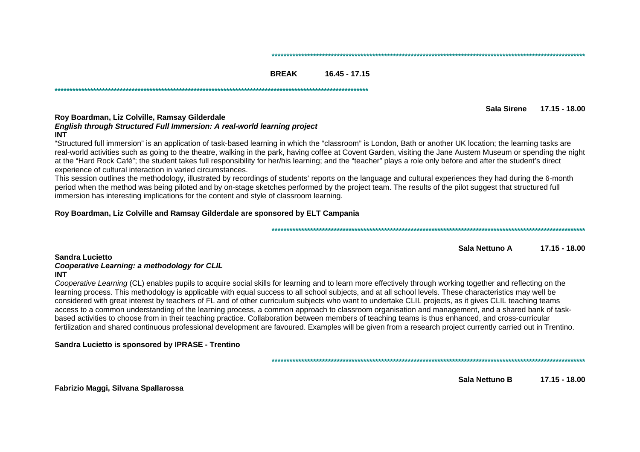#### 

#### **BREAK**  $16.45 - 17.15$

Sala Sirene 17.15 - 18.00

## Roy Boardman, Liz Colville, Ramsay Gilderdale English through Structured Full Immersion: A real-world learning project

#### **INT**

"Structured full immersion" is an application of task-based learning in which the "classroom" is London, Bath or another UK location; the learning tasks are real-world activities such as going to the theatre, walking in the park, having coffee at Covent Garden, visiting the Jane Austem Museum or spending the night at the "Hard Rock Café": the student takes full responsibility for her/his learning: and the "teacher" plays a role only before and after the student's direct experience of cultural interaction in varied circumstances.

This session outlines the methodology, illustrated by recordings of students' reports on the language and cultural experiences they had during the 6-month period when the method was being piloted and by on-stage sketches performed by the project team. The results of the pilot suggest that structured full immersion has interesting implications for the content and style of classroom learning.

#### Roy Boardman, Liz Colville and Ramsay Gilderdale are sponsored by ELT Campania

Sala Nettuno A  $17.15 - 18.00$ 

#### Sandra Lucietto Cooperative Learning: a methodology for CLIL **INT**

Cooperative Learning (CL) enables pupils to acquire social skills for learning and to learn more effectively through working together and reflecting on the learning process. This methodology is applicable with equal success to all school subjects, and at all school levels. These characteristics may well be considered with great interest by teachers of FL and of other curriculum subjects who want to undertake CLIL projects, as it gives CLIL teaching teams access to a common understanding of the learning process, a common approach to classroom organisation and management, and a shared bank of taskbased activities to choose from in their teaching practice. Collaboration between members of teaching teams is thus enhanced, and cross-curricular fertilization and shared continuous professional development are favoured. Examples will be given from a research project currently carried out in Trentino.

Sandra Lucietto is sponsored by IPRASE - Trentino

Fabrizio Maggi, Silvana Spallarossa

Sala Nettuno B  $17.15 - 18.00$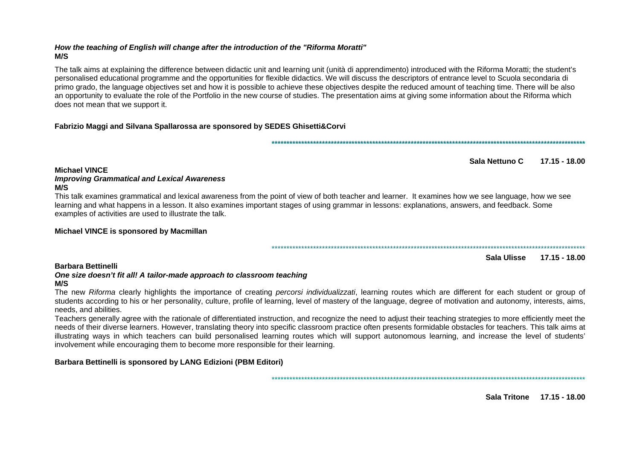## How the teaching of English will change after the introduction of the "Riforma Moratti"  $M/S$

The talk aims at explaining the difference between didactic unit and learning unit (unità di apprendimento) introduced with the Riforma Moratti; the student's personalised educational programme and the opportunities for flexible didactics. We will discuss the descriptors of entrance level to Scuola secondaria di primo grado, the language objectives set and how it is possible to achieve these objectives despite the reduced amount of teaching time. There will be also an opportunity to evaluate the role of the Portfolio in the new course of studies. The presentation aims at giving some information about the Riforma which does not mean that we support it.

## Fabrizio Maggi and Silvana Spallarossa are sponsored by SEDES Ghisetti&Corvi

Sala Nettuno C 17.15 - 18.00

## **Michael VINCE**

## **Improving Grammatical and Lexical Awareness**  $M/S$

This talk examines grammatical and lexical awareness from the point of view of both teacher and learner. It examines how we see language, how we see learning and what happens in a lesson. It also examines important stages of using grammar in lessons: explanations, answers, and feedback. Some examples of activities are used to illustrate the talk.

## Michael VINCE is sponsored by Macmillan

Sala Ulisse 17.15 - 18.00

## **Barbara Bettinelli**

## One size doesn't fit all! A tailor-made approach to classroom teaching

## $M/S$

The new Riforma clearly highlights the importance of creating percorsi individualizzati, learning routes which are different for each student or group of students according to his or her personality, culture, profile of learning, level of mastery of the language, degree of motivation and autonomy, interests, aims, needs, and abilities.

Teachers generally agree with the rationale of differentiated instruction, and recognize the need to adjust their teaching strategies to more efficiently meet the needs of their diverse learners. However, translating theory into specific classroom practice often presents formidable obstacles for teachers. This talk aims at illustrating ways in which teachers can build personalised learning routes which will support autonomous learning, and increase the level of students' involvement while encouraging them to become more responsible for their learning.

## Barbara Bettinelli is sponsored by LANG Edizioni (PBM Editori)

Sala Tritone 17.15 - 18.00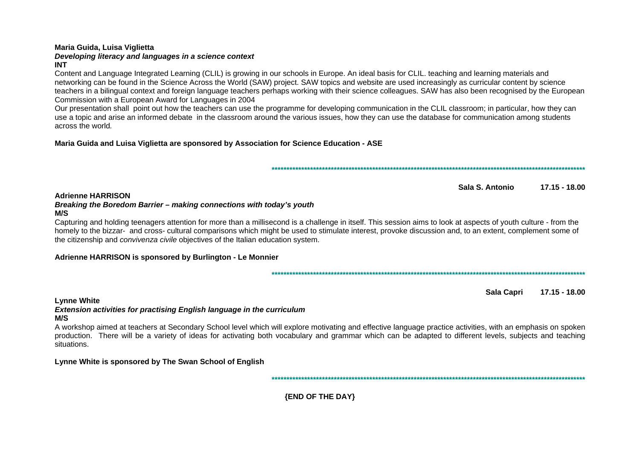#### Maria Guida, Luisa Viglietta

#### Developing literacy and languages in a science context **INT**

#### Content and Language Integrated Learning (CLIL) is growing in our schools in Europe. An ideal basis for CLIL, teaching and learning materials and networking can be found in the Science Across the World (SAW) project. SAW topics and website are used increasingly as curricular content by science teachers in a bilingual context and foreign language teachers perhaps working with their science colleagues. SAW has also been recognised by the European Commission with a European Award for Languages in 2004

Our presentation shall point out how the teachers can use the programme for developing communication in the CLIL classroom: in particular, how they can use a topic and arise an informed debate in the classroom around the various issues, how they can use the database for communication among students across the world

## Maria Guida and Luisa Viglietta are sponsored by Association for Science Education - ASE

Sala S. Antonio 17.15 - 18.00

#### **Adrienne HARRISON** Breaking the Boredom Barrier - making connections with today's youth

## $M/S$

Capturing and holding teenagers attention for more than a millisecond is a challenge in itself. This session aims to look at aspects of youth culture - from the homely to the bizzar- and cross- cultural comparisons which might be used to stimulate interest, provoke discussion and, to an extent, complement some of the citizenship and *convivenza civile* objectives of the Italian education system.

## Adrienne HARRISON is sponsored by Burlington - Le Monnier

Sala Capri 17.15 - 18.00

#### **Lynne White**

#### **Extension activities for practising English language in the curriculum** M/S

A workshop aimed at teachers at Secondary School level which will explore motivating and effective language practice activities, with an emphasis on spoken production. There will be a variety of ideas for activating both vocabulary and grammar which can be adapted to different levels, subjects and teaching situations.

## Lynne White is sponsored by The Swan School of English

**{END OF THE DAY}**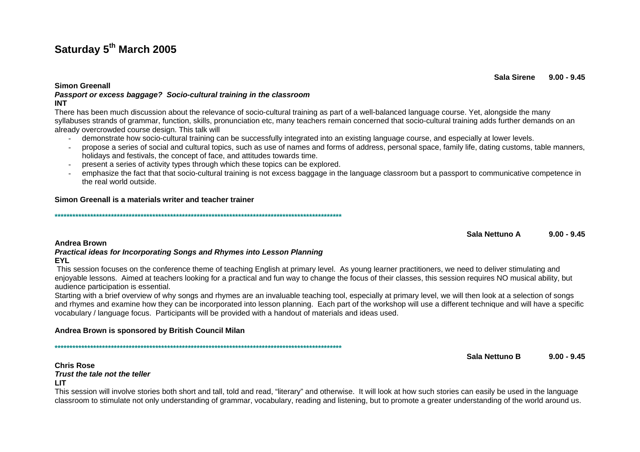# **Saturday 5th March 2005**

**Simon Greenall** 

#### **Passport or excess baggage? Socio-cultural training in the classroom INT**

 There has been much discussion about the relevance of socio-cultural training as part of a well-balanced language course. Yet, alongside the many syllabuses strands of grammar, function, skills, pronunciation etc, many teachers remain concerned that socio-cultural training adds further demands on an already overcrowded course design. This talk will

- demonstrate how socio-cultural training can be successfully integrated into an existing language course, and especially at lower levels.
- propose a series of social and cultural topics, such as use of names and forms of address, personal space, family life, dating customs, table manners, holidays and festivals, the concept of face, and attitudes towards time.
- present a series of activity types through which these topics can be explored.
- emphasize the fact that that socio-cultural training is not excess baggage in the language classroom but a passport to communicative competence in the real world outside.

## **Simon Greenall is a materials writer and teacher trainer**

**\*\*\*\*\*\*\*\*\*\*\*\*\*\*\*\*\*\*\*\*\*\*\*\*\*\*\*\*\*\*\*\*\*\*\*\*\*\*\*\*\*\*\*\*\*\*\*\*\*\*\*\*\*\*\*\*\*\*\*\*\*\*\*\*\*\*\*\*\*\*\*\*\*\*\*\*\*\*\*\*\*\*\*\*\*\*\*\*\*\*\*\*\*\*\*\*\*** 

#### **Sala Nettuno A 9.00 - 9.45**

#### **Andrea Brown**

#### **Practical ideas for Incorporating Songs and Rhymes into Lesson Planning EYL**

 This session focuses on the conference theme of teaching English at primary level. As young learner practitioners, we need to deliver stimulating and enjoyable lessons. Aimed at teachers looking for a practical and fun way to change the focus of their classes, this session requires NO musical ability, but audience participation is essential.

 Starting with a brief overview of why songs and rhymes are an invaluable teaching tool, especially at primary level, we will then look at a selection of songs and rhymes and examine how they can be incorporated into lesson planning. Each part of the workshop will use a different technique and will have a specific vocabulary / language focus. Participants will be provided with a handout of materials and ideas used.

## **Andrea Brown is sponsored by British Council Milan**

**\*\*\*\*\*\*\*\*\*\*\*\*\*\*\*\*\*\*\*\*\*\*\*\*\*\*\*\*\*\*\*\*\*\*\*\*\*\*\*\*\*\*\*\*\*\*\*\*\*\*\*\*\*\*\*\*\*\*\*\*\*\*\*\*\*\*\*\*\*\*\*\*\*\*\*\*\*\*\*\*\*\*\*\*\*\*\*\*\*\*\*\*\*\*\*\*\*** 

**Sala Nettuno B 9.00 - 9.45** 

**Chris Rose Trust the tale not the tellerLIT** 

 This session will involve stories both short and tall, told and read, "literary" and otherwise. It will look at how such stories can easily be used in the language classroom to stimulate not only understanding of grammar, vocabulary, reading and listening, but to promote a greater understanding of the world around us.

**Sala Sirene 9.00 - 9.45**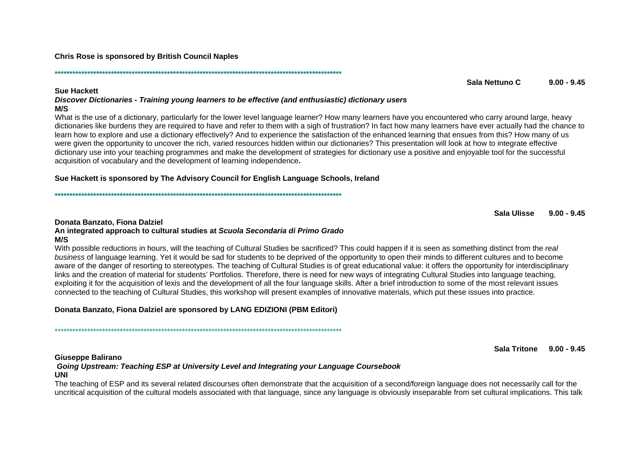**Chris Rose is sponsored by British Council Naples** 

#### **Sue Hackett**

Discover Dictionaries - Training young learners to be effective (and enthusiastic) dictionary users  $M/S$ 

What is the use of a dictionary, particularly for the lower level language learner? How many learners have you encountered who carry around large, heavy dictionaries like burdens they are required to have and refer to them with a sigh of frustration? In fact how many learners have ever actually had the chance to learn how to explore and use a dictionary effectively? And to experience the satisfaction of the enhanced learning that ensues from this? How many of us were given the opportunity to uncover the rich, varied resources hidden within our dictionaries? This presentation will look at how to integrate effective dictionary use into your teaching programmes and make the development of strategies for dictionary use a positive and enjoyable tool for the successful acquisition of vocabulary and the development of learning independence.

## Sue Hackett is sponsored by The Advisory Council for English Language Schools, Ireland

Sala Ulisse  $9.00 - 9.45$ 

## Donata Banzato, Fiona Dalziel

#### An integrated approach to cultural studies at Scuola Secondaria di Primo Grado  $M/S$

With possible reductions in hours, will the teaching of Cultural Studies be sacrificed? This could happen if it is seen as something distinct from the real business of language learning. Yet it would be sad for students to be deprived of the opportunity to open their minds to different cultures and to become aware of the danger of resorting to stereotypes. The teaching of Cultural Studies is of great educational value: it offers the opportunity for interdisciplinary links and the creation of material for students' Portfolios. Therefore, there is need for new ways of integrating Cultural Studies into language teaching, exploiting it for the acquisition of lexis and the development of all the four language skills. After a brief introduction to some of the most relevant issues connected to the teaching of Cultural Studies, this workshop will present examples of innovative materials, which put these issues into practice.

Donata Banzato, Fiona Dalziel are sponsored by LANG EDIZIONI (PBM Editori)

## **Giuseppe Balirano**

## Going Upstream: Teaching ESP at University Level and Integrating your Language Coursebook **UNI**

The teaching of ESP and its several related discourses often demonstrate that the acquisition of a second/foreign language does not necessarily call for the uncritical acquisition of the cultural models associated with that language, since any language is obviously inseparable from set cultural implications. This talk

#### Sala Tritone 9.00 - 9.45

Sala Nettuno C.  $9.00 - 9.45$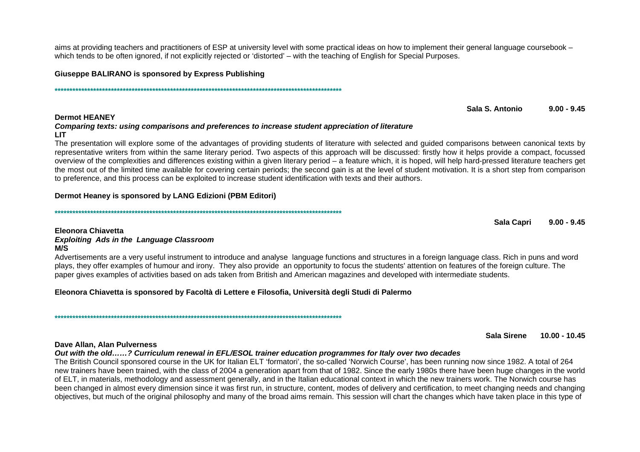aims at providing teachers and practitioners of ESP at university level with some practical ideas on how to implement their general language coursebook – which tends to be often ignored, if not explicitly rejected or 'distorted' – with the teaching of English for Special Purposes.

Giuseppe BALIRANO is sponsored by Express Publishing

#### Sala S. Antonio  $9.00 - 9.45$

## **Dermot HEANEY** Comparing texts: using comparisons and preferences to increase student appreciation of literature **LIT**

The presentation will explore some of the advantages of providing students of literature with selected and guided comparisons between canonical texts by representative writers from within the same literary period. Two aspects of this approach will be discussed: firstly how it helps provide a compact, focussed overview of the complexities and differences existing within a given literary period – a feature which, it is hoped, will help hard-pressed literature teachers get the most out of the limited time available for covering certain periods; the second gain is at the level of student motivation. It is a short step from comparison to preference, and this process can be exploited to increase student identification with texts and their authors.

## Dermot Heaney is sponsored by LANG Edizioni (PBM Editori)

**Sala Capri**  $9.00 - 9.45$ 

## Eleonora Chiavetta

#### **Exploiting Ads in the Language Classroom**  $M/S$

Advertisements are a very useful instrument to introduce and analyse language functions and structures in a foreign language class. Rich in puns and word plays, they offer examples of humour and irony. They also provide an opportunity to focus the students' attention on features of the foreign culture. The paper gives examples of activities based on ads taken from British and American magazines and developed with intermediate students.

## Eleonora Chiavetta is sponsored by Facoltà di Lettere e Filosofia, Università degli Studi di Palermo

Sala Sirene  $10.00 - 10.45$ 

#### Dave Allan, Alan Pulverness

Out with the old......? Curriculum renewal in EFL/ESOL trainer education programmes for Italy over two decades

The British Council sponsored course in the UK for Italian ELT 'formatori', the so-called 'Norwich Course', has been running now since 1982. A total of 264 new trainers have been trained, with the class of 2004 a generation apart from that of 1982. Since the early 1980s there have been huge changes in the world of ELT, in materials, methodology and assessment generally, and in the Italian educational context in which the new trainers work. The Norwich course has been changed in almost every dimension since it was first run, in structure, content, modes of delivery and certification, to meet changing needs and changing objectives, but much of the original philosophy and many of the broad aims remain. This session will chart the changes which have taken place in this type of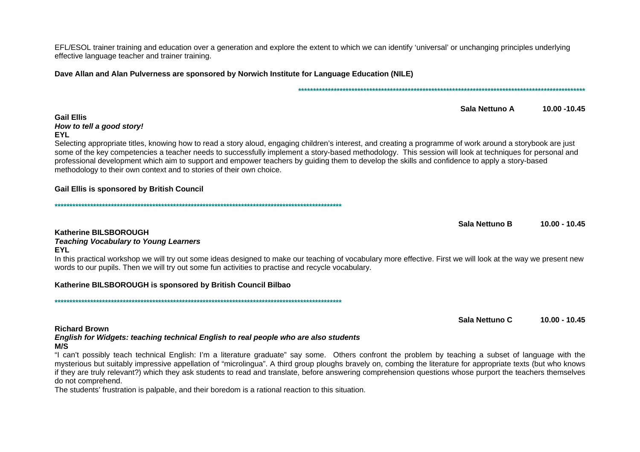EFL/ESOL trainer training and education over a generation and explore the extent to which we can identify 'universal' or unchanging principles underlying effective language teacher and trainer training.

Dave Allan and Alan Pulverness are sponsored by Norwich Institute for Language Education (NILE)

#### Sala Nettuno A 10.00 - 10.45

#### **Gail Ellis** How to tell a good story! **EYL**

Selecting appropriate titles, knowing how to read a story aloud, engaging children's interest, and creating a programme of work around a storybook are just some of the key competencies a teacher needs to successfully implement a story-based methodology. This session will look at techniques for personal and professional development which aim to support and empower teachers by quiding them to develop the skills and confidence to apply a story-based methodology to their own context and to stories of their own choice.

## **Gail Ellis is sponsored by British Council**

Sala Nettuno B  $10.00 - 10.45$ 

## Katherine BILSBOROUGH

## **Teaching Vocabulary to Young Learners**

#### **EYL**

In this practical workshop we will try out some ideas designed to make our teaching of vocabulary more effective. First we will look at the way we present new words to our pupils. Then we will try out some fun activities to practise and recycle vocabulary.

## Katherine BILSBOROUGH is sponsored by British Council Bilbao

Sala Nettuno C 10.00 - 10.45

## **Richard Brown** English for Widgets: teaching technical English to real people who are also students

## $M/S$

"I can't possibly teach technical English: I'm a literature graduate" say some. Others confront the problem by teaching a subset of language with the mysterious but suitably impressive appellation of "microlingua". A third group ploughs bravely on, combing the literature for appropriate texts (but who knows if they are truly relevant?) which they ask students to read and translate, before answering comprehension questions whose purport the teachers themselves do not comprehend.

The students' frustration is palpable, and their boredom is a rational reaction to this situation.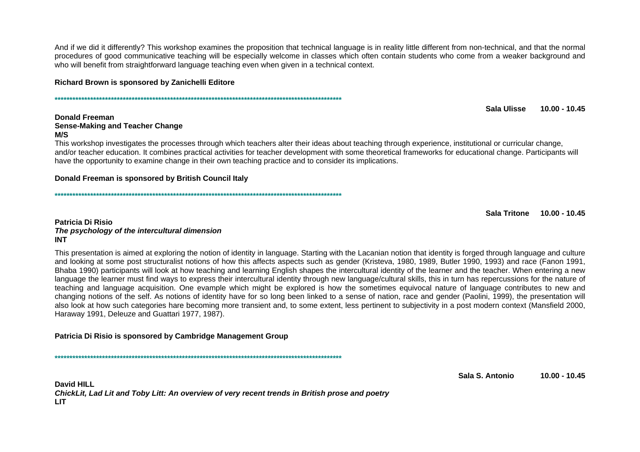And if we did it differently? This workshop examines the proposition that technical language is in reality little different from non-technical, and that the normal procedures of good communicative teaching will be especially welcome in classes which often contain students who come from a weaker background and who will benefit from straightforward language teaching even when given in a technical context.

#### Richard Brown is sponsored by Zanichelli Editore

Sala Ulisse  $10.00 - 10.45$ 

#### **Donald Freeman Sense-Making and Teacher Change M/S**

This workshop investigates the processes through which teachers alter their ideas about teaching through experience, institutional or curricular change, and/or teacher education. It combines practical activities for teacher development with some theoretical frameworks for educational change. Participants will have the opportunity to examine change in their own teaching practice and to consider its implications.

#### Donald Freeman is sponsored by British Council Italy

Sala Tritone 10.00 - 10.45

#### **Patricia Di Risio** The psychology of the intercultural dimension **INT**

This presentation is aimed at exploring the notion of identity in language. Starting with the Lacanian notion that identity is forged through language and culture and looking at some post structuralist notions of how this affects aspects such as gender (Kristeva, 1980, 1989, Butler 1990, 1993) and race (Fanon 1991, Bhaba 1990) participants will look at how teaching and learning English shapes the intercultural identity of the learner and the teacher. When entering a new language the learner must find ways to express their intercultural identity through new language/cultural skills, this in turn has repercussions for the nature of teaching and language acquisition. One evample which might be explored is how the sometimes equivocal nature of language contributes to new and changing notions of the self. As notions of identity have for so long been linked to a sense of nation, race and gender (Paolini, 1999), the presentation will also look at how such categories hare becoming more transient and, to some extent, less pertinent to subjectivity in a post modern context (Mansfield 2000, Haraway 1991, Deleuze and Guattari 1977, 1987).

## Patricia Di Risio is sponsored by Cambridge Management Group

Sala S. Antonio  $10.00 - 10.45$ 

David HII I ChickLit, Lad Lit and Toby Litt: An overview of very recent trends in British prose and poetry **LIT**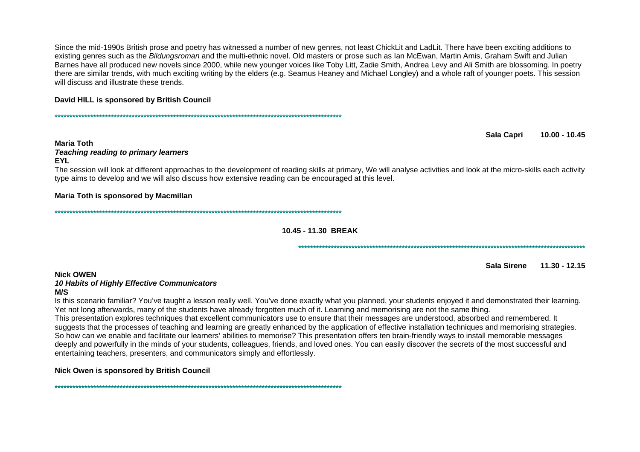Since the mid-1990s British prose and poetry has witnessed a number of new genres, not least ChickLit and LadLit. There have been exciting additions to existing genres such as the *Bildungsroman* and the multi-ethnic novel. Old masters or prose such as Ian McEwan, Martin Amis, Graham Swift and Julian Barnes have all produced new novels since 2000, while new younger voices like Toby Litt, Zadie Smith, Andrea Levy and Ali Smith are blossoming. In poetry there are similar trends, with much exciting writing by the elders (e.g. Seamus Heaney and Michael Longley) and a whole raft of younger poets. This session will discuss and illustrate these trends

## David HILL is sponsored by British Council

**Maria Toth Teaching reading to primary learners EYL** 

The session will look at different approaches to the development of reading skills at primary, We will analyse activities and look at the micro-skills each activity type aims to develop and we will also discuss how extensive reading can be encouraged at this level.

## Maria Toth is sponsored by Macmillan

10.45 - 11.30 BREAK

Sala Sirene 11.30 - 12.15

10.00 - 10.45

**Sala Capri** 

## **Nick OWEN**

## **10 Habits of Highly Effective Communicators**

## $M/S$

Is this scenario familiar? You've taught a lesson really well. You've done exactly what you planned, your students enioved it and demonstrated their learning. Yet not long afterwards, many of the students have already forgotten much of it. Learning and memorising are not the same thing. This presentation explores techniques that excellent communicators use to ensure that their messages are understood, absorbed and remembered. It suggests that the processes of teaching and learning are greatly enhanced by the application of effective installation techniques and memorising strategies. So how can we enable and facilitate our learners' abilities to memorise? This presentation offers ten brain-friendly ways to install memorable messages deeply and powerfully in the minds of your students, colleagues, friends, and loved ones. You can easily discover the secrets of the most successful and entertaining teachers, presenters, and communicators simply and effortlessly.

## Nick Owen is sponsored by British Council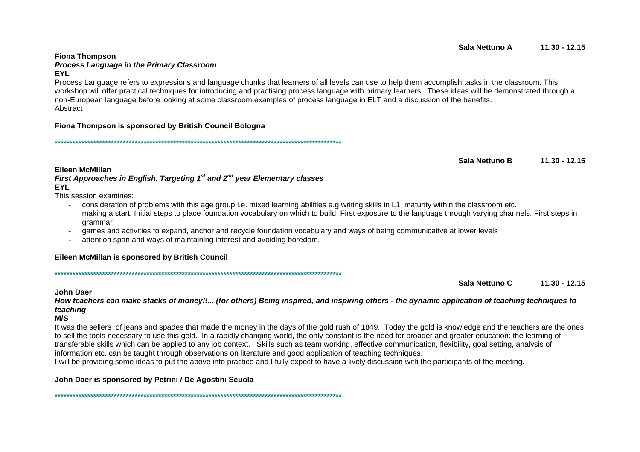#### **EYL** Process Language refers to expressions and language chunks that learners of all levels can use to help them accomplish tasks in the classroom. This workshop will offer practical techniques for introducing and practising process language with primary learners. These ideas will be demonstrated through a non-European language before looking at some classroom examples of process language in ELT and a discussion of the benefits. Abstract

## Fiona Thompson is sponsored by British Council Bologna

Process Language in the Primary Classroom

Sala Nettuno B  $11.30 - 12.15$ 

First Approaches in English. Targeting  $1<sup>st</sup>$  and  $2<sup>nd</sup>$  year Elementary classes **EYL** 

This session examines:

- consideration of problems with this age group i.e. mixed learning abilities e.g writing skills in L1, maturity within the classroom etc.
- making a start. Initial steps to place foundation vocabulary on which to build. First exposure to the language through varying channels. First steps in grammar
- games and activities to expand, anchor and recycle foundation vocabulary and ways of being communicative at lower levels
- attention span and ways of maintaining interest and avoiding boredom.

## Eileen McMillan is sponsored by British Council

Sala Nettuno C  $11.30 - 12.15$ 

## **John Daer**

How teachers can make stacks of money!!... (for others) Being inspired, and inspiring others - the dynamic application of teaching techniques to teaching

## $M/S$

It was the sellers of jeans and spades that made the money in the days of the gold rush of 1849. Today the gold is knowledge and the teachers are the ones to sell the tools necessary to use this gold. In a rapidly changing world, the only constant is the need for broader and greater education: the learning of transferable skills which can be applied to any job context. Skills such as team working, effective communication, flexibility, goal setting, analysis of information etc. can be taught through observations on literature and good application of teaching techniques.

I will be providing some ideas to put the above into practice and I fully expect to have a lively discussion with the participants of the meeting.

John Daer is sponsored by Petrini / De Agostini Scuola

#### Sala Nettuno A  $11.30 - 12.15$

Eileen McMillan

**Fiona Thompson**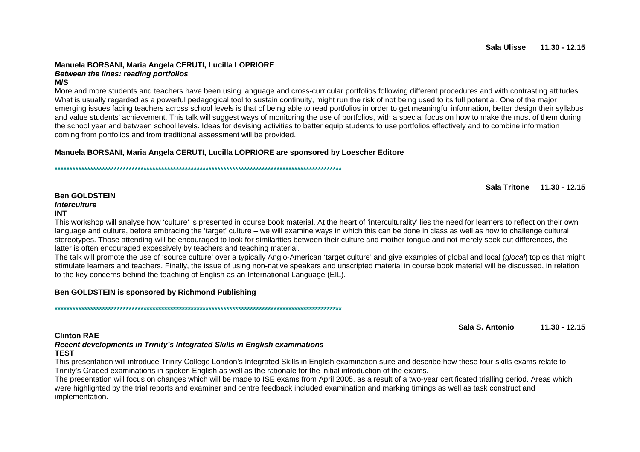## **Manuela BORSANI, Maria Angela CERUTI, Lucilla LOPRIORE Between the lines: reading portfolios**

**M/S** 

 More and more students and teachers have been using language and cross-curricular portfolios following different procedures and with contrasting attitudes. What is usually regarded as a powerful pedagogical tool to sustain continuity, might run the risk of not being used to its full potential. One of the major emerging issues facing teachers across school levels is that of being able to read portfolios in order to get meaningful information, better design their syllabus and value students' achievement. This talk will suggest ways of monitoring the use of portfolios, with a special focus on how to make the most of them during the school year and between school levels. Ideas for devising activities to better equip students to use portfolios effectively and to combine information coming from portfolios and from traditional assessment will be provided.

## **Manuela BORSANI, Maria Angela CERUTI, Lucilla LOPRIORE are sponsored by Loescher Editore**

**\*\*\*\*\*\*\*\*\*\*\*\*\*\*\*\*\*\*\*\*\*\*\*\*\*\*\*\*\*\*\*\*\*\*\*\*\*\*\*\*\*\*\*\*\*\*\*\*\*\*\*\*\*\*\*\*\*\*\*\*\*\*\*\*\*\*\*\*\*\*\*\*\*\*\*\*\*\*\*\*\*\*\*\*\*\*\*\*\*\*\*\*\*\*\*\*\*** 

**Sala Tritone 11.30 - 12.15** 

#### **Ben GOLDSTEIN Interculture INT**

 This workshop will analyse how 'culture' is presented in course book material. At the heart of 'interculturality' lies the need for learners to reflect on their own language and culture, before embracing the 'target' culture – we will examine ways in which this can be done in class as well as how to challenge cultural stereotypes. Those attending will be encouraged to look for similarities between their culture and mother tongue and not merely seek out differences, thelatter is often encouraged excessively by teachers and teaching material.

The talk will promote the use of 'source culture' over a typically Anglo-American 'target culture' and give examples of global and local (glocal) topics that might stimulate learners and teachers. Finally, the issue of using non-native speakers and unscripted material in course book material will be discussed, in relation to the key concerns behind the teaching of English as an International Language (EIL).

#### **Ben GOLDSTEIN is sponsored by Richmond Publishing**

**\*\*\*\*\*\*\*\*\*\*\*\*\*\*\*\*\*\*\*\*\*\*\*\*\*\*\*\*\*\*\*\*\*\*\*\*\*\*\*\*\*\*\*\*\*\*\*\*\*\*\*\*\*\*\*\*\*\*\*\*\*\*\*\*\*\*\*\*\*\*\*\*\*\*\*\*\*\*\*\*\*\*\*\*\*\*\*\*\*\*\*\*\*\*\*\*\*** 

**Sala S. Antonio 11.30 - 12.15** 

#### **Clinton RAE**

#### **Recent developments in Trinity's Integrated Skills in English examinations TEST**

 This presentation will introduce Trinity College London's Integrated Skills in English examination suite and describe how these four-skills exams relate to Trinity's Graded examinations in spoken English as well as the rationale for the initial introduction of the exams.

 The presentation will focus on changes which will be made to ISE exams from April 2005, as a result of a two-year certificated trialling period. Areas which were highlighted by the trial reports and examiner and centre feedback included examination and marking timings as well as task construct and implementation.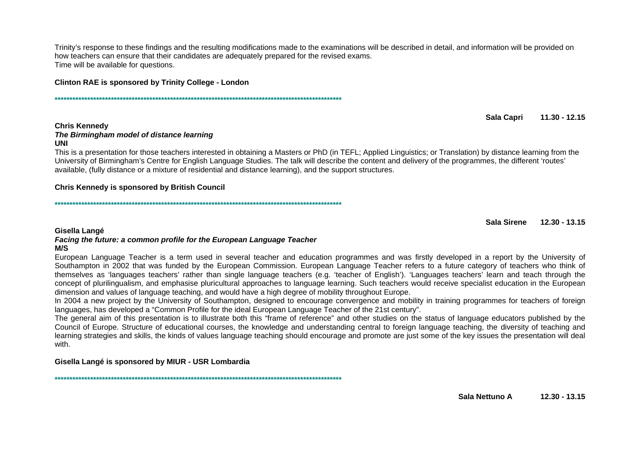Trinity's response to these findings and the resulting modifications made to the examinations will be described in detail, and information will be provided on how teachers can ensure that their candidates are adequately prepared for the revised exams. Time will be available for questions.

**Clinton RAE is sponsored by Trinity College - London** 

Sala Capri  $11.30 - 12.15$ 

#### **Chris Kennedv**

## The Birmingham model of distance learning

#### **UNI**

This is a presentation for those teachers interested in obtaining a Masters or PhD (in TEFL; Applied Linguistics; or Translation) by distance learning from the University of Birmingham's Centre for English Language Studies. The talk will describe the content and delivery of the programmes, the different 'routes' available, (fully distance or a mixture of residential and distance learning), and the support structures.

#### **Chris Kennedy is sponsored by British Council**

Sala Sirene 12.30 - 13.15

#### Gisella Langé

#### Facing the future: a common profile for the European Language Teacher  $M/S$

European Language Teacher is a term used in several teacher and education programmes and was firstly developed in a report by the University of Southampton in 2002 that was funded by the European Commission. European Language Teacher refers to a future category of teachers who think of themselves as 'languages teachers' rather than single language teachers (e.g. 'teacher of English'). 'Languages teachers' learn and teach through the concept of plurilingualism, and emphasise pluricultural approaches to language learning. Such teachers would receive specialist education in the European dimension and values of language teaching, and would have a high degree of mobility throughout Europe.

In 2004 a new project by the University of Southampton, designed to encourage convergence and mobility in training programmes for teachers of foreign languages, has developed a "Common Profile for the ideal European Language Teacher of the 21st century".

The general aim of this presentation is to illustrate both this "frame of reference" and other studies on the status of language educators published by the Council of Europe. Structure of educational courses, the knowledge and understanding central to foreign language teaching, the diversity of teaching and learning strategies and skills, the kinds of values language teaching should encourage and promote are just some of the key issues the presentation will deal with.

#### Gisella Langé is sponsored by MIUR - USR Lombardia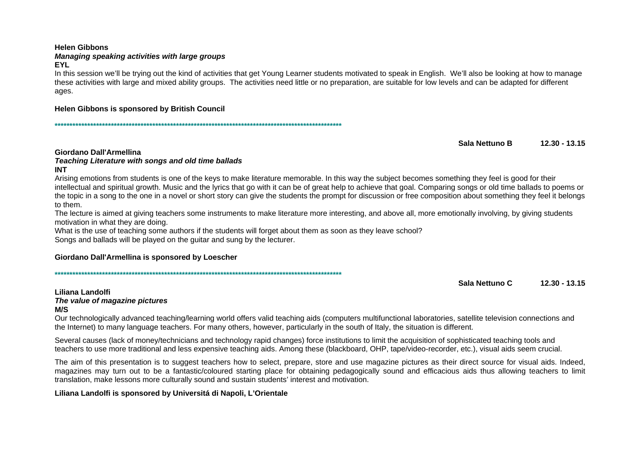## **Helen Gibbons** Managing speaking activities with large groups

#### **EYL**

In this session we'll be trying out the kind of activities that get Young Learner students motivated to speak in English. We'll also be looking at how to manage these activities with large and mixed ability groups. The activities need little or no preparation, are suitable for low levels and can be adapted for different ages.

## Helen Gibbons is sponsored by British Council

Sala Nettuno B  $12.30 - 13.15$ 

#### Giordano Dall'Armellina

#### Teaching Literature with songs and old time ballads **INT**

Arising emotions from students is one of the keys to make literature memorable. In this way the subject becomes something they feel is good for their intellectual and spiritual growth. Music and the lyrics that go with it can be of great help to achieve that goal. Comparing songs or old time ballads to poems or the topic in a song to the one in a novel or short story can give the students the prompt for discussion or free composition about something they feel it belongs to them

The lecture is aimed at giving teachers some instruments to make literature more interesting, and above all, more emotionally involving, by giving students motivation in what they are doing.

What is the use of teaching some authors if the students will forget about them as soon as they leave school? Songs and ballads will be played on the guitar and sung by the lecturer.

## Giordano Dall'Armellina is sponsored by Loescher

Sala Nettuno C  $12.30 - 13.15$ 

#### Liliana Landolfi The value of magazine pictures  $M/S$

Our technologically advanced teaching/learning world offers valid teaching aids (computers multifunctional laboratories, satellite television connections and the Internet) to many language teachers. For many others, however, particularly in the south of Italy, the situation is different.

Several causes (lack of money/technicians and technology rapid changes) force institutions to limit the acquisition of sophisticated teaching tools and teachers to use more traditional and less expensive teaching aids. Among these (blackboard, OHP, tape/video-recorder, etc.), visual aids seem crucial.

The aim of this presentation is to suggest teachers how to select, prepare, store and use magazine pictures as their direct source for visual aids. Indeed, magazines may turn out to be a fantastic/coloured starting place for obtaining pedagogically sound and efficacious aids thus allowing teachers to limit translation, make lessons more culturally sound and sustain students' interest and motivation.

## Liliana Landolfi is sponsored by Universitá di Napoli, L'Orientale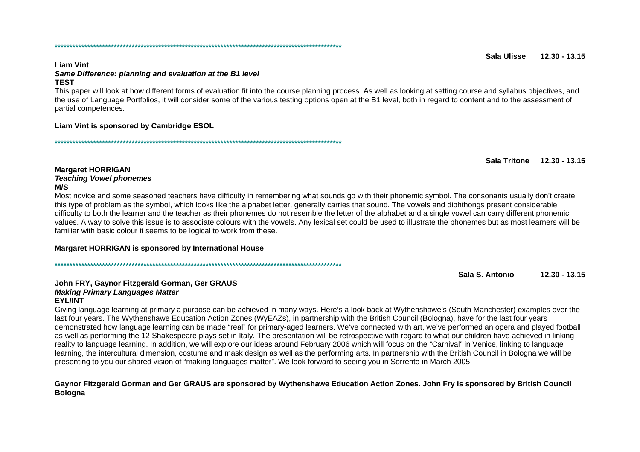#### Sala Illicco  $12.30 - 13.15$

#### **Liam Vint** Same Difference: planning and evaluation at the B1 level **TFST**

This paper will look at how different forms of evaluation fit into the course planning process. As well as looking at setting course and syllabus objectives, and the use of Language Portfolios, it will consider some of the various testing options open at the B1 level, both in regard to content and to the assessment of partial competences.

#### Liam Vint is sponsored by Cambridge ESOL

Sala Tritone 12.30 - 13.15

#### **Margaret HORRIGAN Teaching Vowel phonemes** M/S

Most novice and some seasoned teachers have difficulty in remembering what sounds go with their phonemic symbol. The consonants usually don't create this type of problem as the symbol, which looks like the alphabet letter, generally carries that sound. The vowels and diphthongs present considerable difficulty to both the learner and the teacher as their phonemes do not resemble the letter of the alphabet and a single vowel can carry different phonemic values. A way to solve this issue is to associate colours with the vowels. Any lexical set could be used to illustrate the phonemes but as most learners will be familiar with basic colour it seems to be logical to work from these.

## Margaret HORRIGAN is sponsored by International House

Sala S. Antonio  $12.30 - 13.15$ 

# John FRY, Gaynor Fitzgerald Gorman, Ger GRAUS **Making Primary Languages Matter**

#### **EYL/INT**

Giving language learning at primary a purpose can be achieved in many ways. Here's a look back at Wythenshawe's (South Manchester) examples over the last four years. The Wythenshawe Education Action Zones (WyEAZs), in partnership with the British Council (Bologna), have for the last four years demonstrated how language learning can be made "real" for primary-aged learners. We've connected with art, we've performed an opera and played football as well as performing the 12 Shakespeare plays set in Italy. The presentation will be retrospective with regard to what our children have achieved in linking reality to language learning. In addition, we will explore our ideas around February 2006 which will focus on the "Carnival" in Venice, linking to language learning, the intercultural dimension, costume and mask design as well as the performing arts. In partnership with the British Council in Bologna we will be presenting to vou our shared vision of "making languages matter". We look forward to seeing you in Sorrento in March 2005.

## Gaynor Fitzgerald Gorman and Ger GRAUS are sponsored by Wythenshawe Education Action Zones. John Fry is sponsored by British Council **Bologna**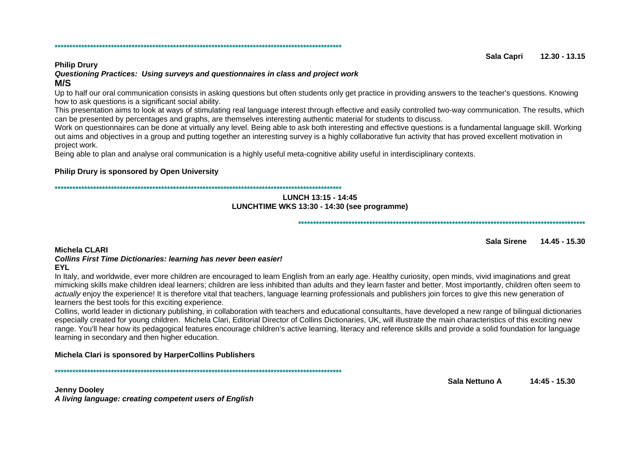#### Sala Capri  $12.30 - 13.15$

## **Philip Drury**

## Questioning Practices: Using surveys and questionnaires in class and project work

## $M/S$

Up to half our oral communication consists in asking questions but often students only get practice in providing answers to the teacher's questions. Knowing how to ask questions is a significant social ability.

This presentation aims to look at ways of stimulating real language interest through effective and easily controlled two-way communication. The results, which can be presented by percentages and graphs, are themselves interesting authentic material for students to discuss.

Work on questionnaires can be done at virtually any level. Being able to ask both interesting and effective questions is a fundamental language skill. Working out aims and objectives in a group and putting together an interesting survey is a highly collaborative fun activity that has proved excellent motivation in project work.

Being able to plan and analyse oral communication is a highly useful meta-cognitive ability useful in interdisciplinary contexts.

## Philip Drury is sponsored by Open University

#### LUNCH 13:15 - 14:45 LUNCHTIME WKS 13:30 - 14:30 (see programme)

Sala Sirene 14.45 - 15.30

## Michela CLARI

#### **Collins First Time Dictionaries: learning has never been easier! EYL**

In Italy, and worldwide, ever more children are encouraged to learn English from an early age. Healthy curiosity, open minds, vivid imaginations and great mimicking skills make children ideal learners; children are less inhibited than adults and they learn faster and better. Most importantly, children often seem to actually enjoy the experience! It is therefore vital that teachers, language learning professionals and publishers join forces to give this new generation of learners the best tools for this exciting experience.

Collins, world leader in dictionary publishing, in collaboration with teachers and educational consultants, have developed a new range of bilingual dictionaries especially created for young children. Michela Clari, Editorial Director of Collins Dictionaries, UK, will illustrate the main characteristics of this exciting new range. You'll hear how its pedagogical features encourage children's active learning, literacy and reference skills and provide a solid foundation for language learning in secondary and then higher education.

## Michela Clari is sponsored by HarperCollins Publishers

**Jenny Dooley** A living language: creating competent users of English Sala Nettuno A 14:45 - 15.30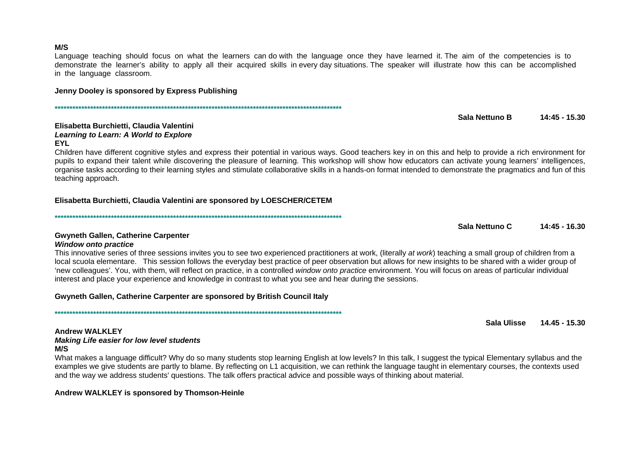#### $M/S$

Language teaching should focus on what the learners can do with the language once they have learned it. The aim of the competencies is to demonstrate the learner's ability to apply all their acquired skills in every day situations. The speaker will illustrate how this can be accomplished in the language classroom.

## Jenny Dooley is sponsored by Express Publishing

#### Elisabetta Burchietti, Claudia Valentini Learning to Learn: A World to Explore **EYL**

Children have different cognitive styles and express their potential in various ways. Good teachers key in on this and help to provide a rich environment for pupils to expand their talent while discovering the pleasure of learning. This workshop will show how educators can activate voung learners' intelligences. organise tasks according to their learning styles and stimulate collaborative skills in a hands-on format intended to demonstrate the pragmatics and fun of this teaching approach.

## Elisabetta Burchietti, Claudia Valentini are sponsored by LOESCHER/CETEM

## **Gwyneth Gallen, Catherine Carpenter**

#### **Window onto practice**

This innovative series of three sessions invites you to see two experienced practitioners at work, (literally at work) teaching a small group of children from a local scuola elementare. This session follows the everyday best practice of peer observation but allows for new insights to be shared with a wider group of 'new colleagues'. You, with them, will reflect on practice, in a controlled window onto practice environment. You will focus on areas of particular individual interest and place your experience and knowledge in contrast to what you see and hear during the sessions.

## Gwyneth Gallen, Catherine Carpenter are sponsored by British Council Italy

## **Andrew WALKLEY**

**Making Life easier for low level students**  $M/S$ 

What makes a language difficult? Why do so many students stop learning English at low levels? In this talk, I suggest the typical Elementary syllabus and the examples we give students are partly to blame. By reflecting on L1 acquisition, we can rethink the language taught in elementary courses, the contexts used and the way we address students' questions. The talk offers practical advice and possible ways of thinking about material.

## Andrew WALKLEY is sponsored by Thomson-Heinle

Sala Nettuno B  $14:45 - 15.30$ 

Sala Nettuno C  $14:45 - 16.30$ 

Sala Ulisse 14.45 - 15.30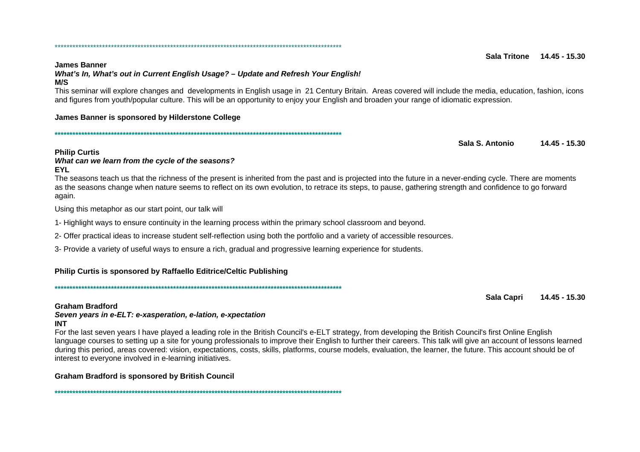#### **James Banner** What's In, What's out in Current English Usage? - Update and Refresh Your English!  $M/S$

This seminar will explore changes and developments in English usage in 21 Century Britain. Areas covered will include the media, education, fashion, icons and figures from youth/popular culture. This will be an opportunity to enjoy your English and broaden your range of idiomatic expression.

## James Banner is sponsored by Hilderstone College

Sala S. Antonio 14.45 - 15.30

## **Philip Curtis**

#### What can we learn from the cycle of the seasons? **EYL**

The seasons teach us that the richness of the present is inherited from the past and is projected into the future in a never-ending cycle. There are moments as the seasons change when nature seems to reflect on its own evolution, to retrace its steps, to pause, gathering strength and confidence to go forward again.

Using this metaphor as our start point, our talk will

1- Highlight ways to ensure continuity in the learning process within the primary school classroom and beyond.

2- Offer practical ideas to increase student self-reflection using both the portfolio and a variety of accessible resources.

3- Provide a variety of useful ways to ensure a rich, gradual and progressive learning experience for students.

## Philip Curtis is sponsored by Raffaello Editrice/Celtic Publishing

## **Graham Bradford**

#### Seven years in e-ELT: e-xasperation, e-lation, e-xpectation **INT**

For the last seven years I have played a leading role in the British Council's e-ELT strategy, from developing the British Council's first Online English language courses to setting up a site for young professionals to improve their English to further their careers. This talk will give an account of lessons learned during this period, areas covered; vision, expectations, costs, skills, platforms, course models, evaluation, the learner, the future. This account should be of interest to everyone involved in e-learning initiatives.

## **Graham Bradford is sponsored by British Council**

#### Sala Tritone 14 45 - 15 30

**Sala Capri** 14.45 - 15.30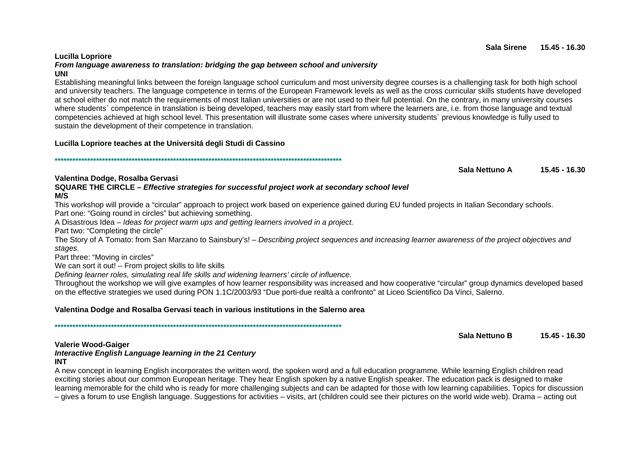#### UNI Establishing meaningful links between the foreign language school curriculum and most university degree courses is a challenging task for both high school and university teachers. The language competence in terms of the European Framework levels as well as the cross curricular skills students have developed at school either do not match the requirements of most Italian universities or are not used to their full potential. On the contrary, in many university courses where students' competence in translation is being developed, teachers may easily start from where the learners are, i.e. from those language and textual competencies achieved at high school level. This presentation will illustrate some cases where university students` previous knowledge is fully used to

Lucilla Lopriore teaches at the Universitá degli Studi di Cassino

sustain the development of their competence in translation.

From language awareness to translation: bridging the gap between school and university

## Valentina Dodge, Rosalba Gervasi

Lucilla Lopriore

SQUARE THE CIRCLE – Effective strategies for successful project work at secondary school level  $M/S$ 

This workshop will provide a "circular" approach to project work based on experience gained during EU funded projects in Italian Secondary schools.

Part one: "Going round in circles" but achieving something.

A Disastrous Idea – Ideas for project warm ups and getting learners involved in a project.

Part two: "Completing the circle"

The Story of A Tomato: from San Marzano to Sainsbury's! – Describing project sequences and increasing learner awareness of the project objectives and stages.

Part three: "Moving in circles"

We can sort it out! - From project skills to life skills

Defining learner roles, simulating real life skills and widening learners' circle of influence.

Throughout the workshop we will give examples of how learner responsibility was increased and how cooperative "circular" group dynamics developed based on the effective strategies we used during PON 1.1C/2003/93 "Due porti-due realtà a confronto" at Liceo Scientifico Da Vinci, Salerno.

## Valentina Dodge and Rosalba Gervasi teach in various institutions in the Salerno area

Sala Nettuno B  $15.45 - 16.30$ 

## **Valerie Wood-Gaiger**

#### Interactive English Language learning in the 21 Century **INT**

A new concept in learning English incorporates the written word, the spoken word and a full education programme. While learning English children read exciting stories about our common European heritage. They hear English spoken by a native English speaker. The education pack is designed to make learning memorable for the child who is ready for more challenging subjects and can be adapted for those with low learning capabilities. Topics for discussion - gives a forum to use English language. Suggestions for activities – visits, art (children could see their pictures on the world wide web). Drama – acting out

Sala Nettuno A

 $15.45 - 16.30$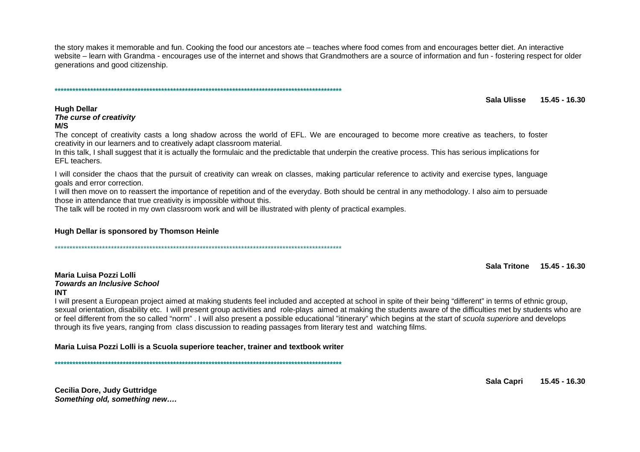the story makes it memorable and fun. Cooking the food our ancestors ate – teaches where food comes from and encourages better diet. An interactive website – learn with Grandma - encourages use of the internet and shows that Grandmothers are a source of information and fun - fostering respect for older generations and good citizenship.

Sala Ulisse 15 45 - 16 30

## **Hugh Dellar**

The curse of creativity  $M/S$ 

The concept of creativity casts a long shadow across the world of EFL. We are encouraged to become more creative as teachers, to foster creativity in our learners and to creatively adapt classroom material.

In this talk, I shall suggest that it is actually the formulaic and the predictable that underpin the creative process. This has serious implications for EFL teachers.

I will consider the chaos that the pursuit of creativity can wreak on classes, making particular reference to activity and exercise types, language goals and error correction.

I will then move on to reassert the importance of repetition and of the everyday. Both should be central in any methodology, I also aim to persuade those in attendance that true creativity is impossible without this.

The talk will be rooted in my own classroom work and will be illustrated with plenty of practical examples.

#### Hugh Dellar is sponsored by Thomson Heinle

Sala Tritone 15.45 - 16.30

#### Maria Luisa Pozzi Lolli **Towards an Inclusive School INT**

I will present a European project aimed at making students feel included and accepted at school in spite of their being "different" in terms of ethnic group, sexual orientation, disability etc. I will present group activities and role-plays aimed at making the students aware of the difficulties met by students who are or feel different from the so called "norm". I will also present a possible educational "itinerary" which begins at the start of scuola superiore and develops through its five years, ranging from class discussion to reading passages from literary test and watching films.

Maria Luisa Pozzi Lolli is a Scuola superiore teacher, trainer and textbook writer

Cecilia Dore, Judy Guttridge Something old, something new.... Sala Capri 15.45 - 16.30